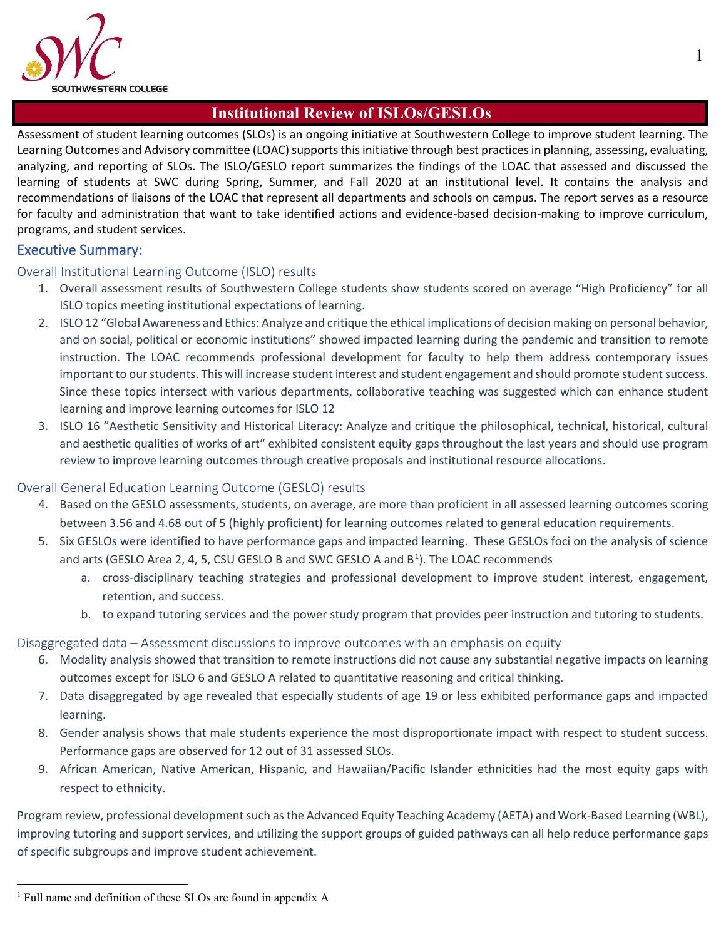

### **Institutional Review of ISLOs/GESLOs**

Assessment of student learning outcomes (SLOs) is an ongoing initiative at Southwestern College to improve student learning. The Learning Outcomes and Advisory committee (LOAC) supports this initiative through best practices in planning, assessing, evaluating, analyzing, and reporting of SLOs. The ISLO/GESLO report summarizes the findings of the LOAC that assessed and discussed the learning of students at SWC during Spring, Summer, and Fall 2020 at an institutional level. It contains the analysis and recommendations of liaisons of the LOAC that represent all departments and schools on campus. The report serves as a resource for faculty and administration that want to take identified actions and evidence-based decision-making to improve curriculum, programs, and student services.

#### Executive Summary:

#### Overall Institutional Learning Outcome (ISLO) results

- 1. Overall assessment results of Southwestern College students show students scored on average "High Proficiency" for all ISLO topics meeting institutional expectations of learning.
- 2. ISLO 12 "Global Awareness and Ethics: Analyze and critique the ethical implications of decision making on personal behavior, and on social, political or economic institutions" showed impacted learning during the pandemic and transition to remote instruction. The LOAC recommends professional development for faculty to help them address contemporary issues important to our students. This will increase student interest and student engagement and should promote student success. Since these topics intersect with various departments, collaborative teaching was suggested which can enhance student learning and improve learning outcomes for ISLO 12
- 3. ISLO 16 "Aesthetic Sensitivity and Historical Literacy: Analyze and critique the philosophical, technical, historical, cultural and aesthetic qualities of works of art" exhibited consistent equity gaps throughout the last years and should use program review to improve learning outcomes through creative proposals and institutional resource allocations.

#### Overall General Education Learning Outcome (GESLO) results

- 4. Based on the GESLO assessments, students, on average, are more than proficient in all assessed learning outcomes scoring between 3.56 and 4.68 out of 5 (highly proficient) for learning outcomes related to general education requirements.
- 5. Six GESLOs were identified to have performance gaps and impacted learning. These GESLOs foci on the analysis of science and arts (GESLO Area 2, 4, 5, CSU GESLO B and SWC GESLO A and  $B<sup>1</sup>$  $B<sup>1</sup>$  $B<sup>1</sup>$ ). The LOAC recommends
	- a. cross-disciplinary teaching strategies and professional development to improve student interest, engagement, retention, and success.
	- b. to expand tutoring services and the power study program that provides peer instruction and tutoring to students.

#### Disaggregated data – Assessment discussions to improve outcomes with an emphasis on equity

- 6. Modality analysis showed that transition to remote instructions did not cause any substantial negative impacts on learning outcomes except for ISLO 6 and GESLO A related to quantitative reasoning and critical thinking.
- 7. Data disaggregated by age revealed that especially students of age 19 or less exhibited performance gaps and impacted learning.
- 8. Gender analysis shows that male students experience the most disproportionate impact with respect to student success. Performance gaps are observed for 12 out of 31 assessed SLOs.
- 9. African American, Native American, Hispanic, and Hawaiian/Pacific Islander ethnicities had the most equity gaps with respect to ethnicity.

Program review, professional development such as the Advanced Equity Teaching Academy (AETA) and Work-Based Learning (WBL), improving tutoring and support services, and utilizing the support groups of guided pathways can all help reduce performance gaps of specific subgroups and improve student achievement.

<span id="page-0-0"></span><sup>&</sup>lt;sup>1</sup> Full name and definition of these SLOs are found in appendix A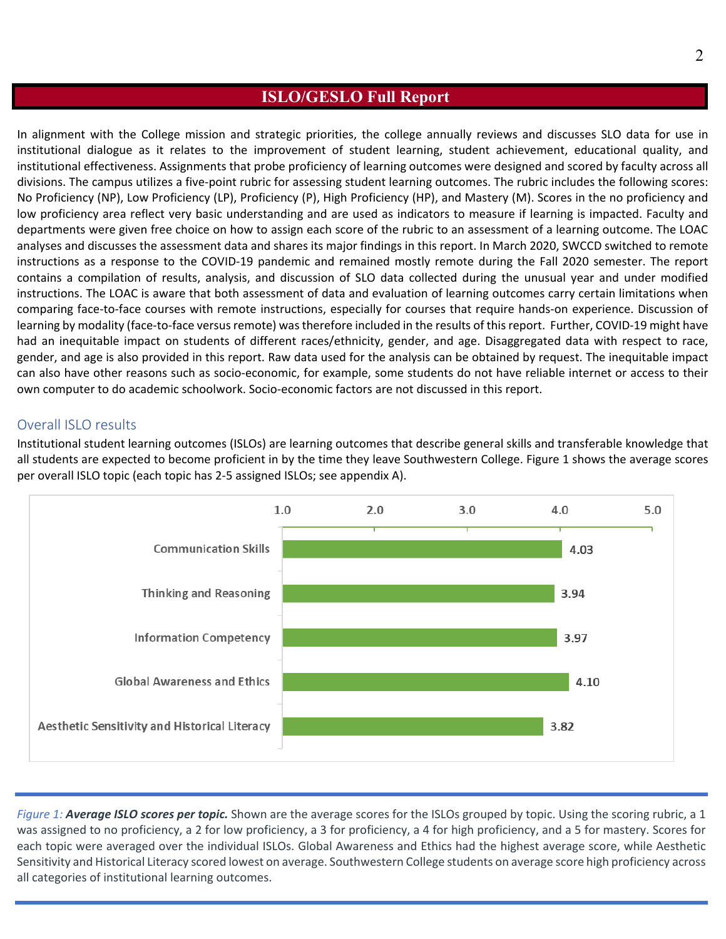### **ISLO/GESLO Full Report**

In alignment with the College mission and strategic priorities, the college annually reviews and discusses SLO data for use in institutional dialogue as it relates to the improvement of student learning, student achievement, educational quality, and institutional effectiveness. Assignments that probe proficiency of learning outcomes were designed and scored by faculty across all divisions. The campus utilizes a five-point rubric for assessing student learning outcomes. The rubric includes the following scores: No Proficiency (NP), Low Proficiency (LP), Proficiency (P), High Proficiency (HP), and Mastery (M). Scores in the no proficiency and low proficiency area reflect very basic understanding and are used as indicators to measure if learning is impacted. Faculty and departments were given free choice on how to assign each score of the rubric to an assessment of a learning outcome. The LOAC analyses and discusses the assessment data and shares its major findings in this report. In March 2020, SWCCD switched to remote instructions as a response to the COVID-19 pandemic and remained mostly remote during the Fall 2020 semester. The report contains a compilation of results, analysis, and discussion of SLO data collected during the unusual year and under modified instructions. The LOAC is aware that both assessment of data and evaluation of learning outcomes carry certain limitations when comparing face-to-face courses with remote instructions, especially for courses that require hands-on experience. Discussion of learning by modality (face-to-face versus remote) was therefore included in the results of this report. Further, COVID-19 might have had an inequitable impact on students of different races/ethnicity, gender, and age. Disaggregated data with respect to race, gender, and age is also provided in this report. Raw data used for the analysis can be obtained by request. The inequitable impact can also have other reasons such as socio-economic, for example, some students do not have reliable internet or access to their own computer to do academic schoolwork. Socio-economic factors are not discussed in this report.

#### Overall ISLO results

Institutional student learning outcomes (ISLOs) are learning outcomes that describe general skills and transferable knowledge that all students are expected to become proficient in by the time they leave Southwestern College. Figure 1 shows the average scores per overall ISLO topic (each topic has 2-5 assigned ISLOs; see appendix A).



*Figure 1: Average ISLO scores per topic.* Shown are the average scores for the ISLOs grouped by topic. Using the scoring rubric, a 1 was assigned to no proficiency, a 2 for low proficiency, a 3 for proficiency, a 4 for high proficiency, and a 5 for mastery. Scores for each topic were averaged over the individual ISLOs. Global Awareness and Ethics had the highest average score, while Aesthetic Sensitivity and Historical Literacy scored lowest on average. Southwestern College students on average score high proficiency across all categories of institutional learning outcomes.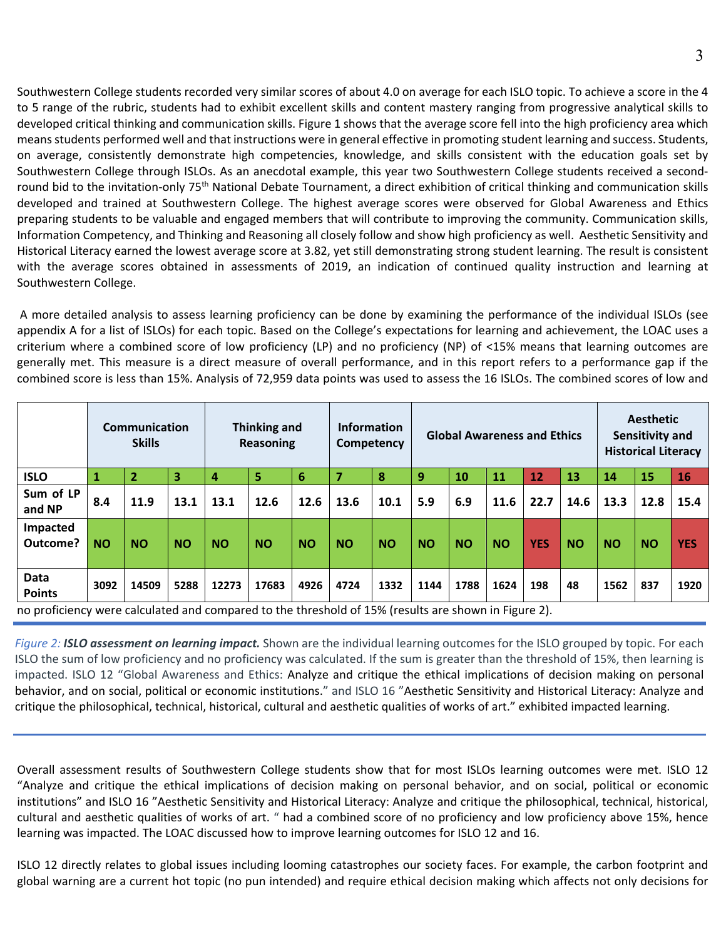Southwestern College students recorded very similar scores of about 4.0 on average for each ISLO topic. To achieve a score in the 4 to 5 range of the rubric, students had to exhibit excellent skills and content mastery ranging from progressive analytical skills to developed critical thinking and communication skills. Figure 1 shows that the average score fell into the high proficiency area which means students performed well and that instructions were in general effective in promoting student learning and success. Students, on average, consistently demonstrate high competencies, knowledge, and skills consistent with the education goals set by Southwestern College through ISLOs. As an anecdotal example, this year two Southwestern College students received a secondround bid to the invitation-only 75<sup>th</sup> National Debate Tournament, a direct exhibition of critical thinking and communication skills developed and trained at Southwestern College. The highest average scores were observed for Global Awareness and Ethics preparing students to be valuable and engaged members that will contribute to improving the community. Communication skills, Information Competency, and Thinking and Reasoning all closely follow and show high proficiency as well. Aesthetic Sensitivity and Historical Literacy earned the lowest average score at 3.82, yet still demonstrating strong student learning. The result is consistent with the average scores obtained in assessments of 2019, an indication of continued quality instruction and learning at Southwestern College.

A more detailed analysis to assess learning proficiency can be done by examining the performance of the individual ISLOs (see appendix A for a list of ISLOs) for each topic. Based on the College's expectations for learning and achievement, the LOAC uses a criterium where a combined score of low proficiency (LP) and no proficiency (NP) of <15% means that learning outcomes are generally met. This measure is a direct measure of overall performance, and in this report refers to a performance gap if the combined score is less than 15%. Analysis of 72,959 data points was used to assess the 16 ISLOs. The combined scores of low and

|                       | Communication<br><b>Thinking and</b><br><b>Skills</b><br><b>Reasoning</b>                           |                |           | <b>Information</b> | Competency |                 | <b>Global Awareness and Ethics</b> |           | <b>Aesthetic</b><br>Sensitivity and<br><b>Historical Literacy</b> |           |           |            |           |           |           |            |
|-----------------------|-----------------------------------------------------------------------------------------------------|----------------|-----------|--------------------|------------|-----------------|------------------------------------|-----------|-------------------------------------------------------------------|-----------|-----------|------------|-----------|-----------|-----------|------------|
| <b>ISLO</b>           | 1                                                                                                   | $\overline{2}$ | 3         | 4                  | 5          | $6\phantom{1}6$ |                                    | 8         | 9                                                                 | 10        | 11        | 12         | 13        | 14        | 15        | 16         |
| Sum of LP<br>and NP   | 8.4                                                                                                 | 11.9           | 13.1      | 13.1               | 12.6       | 12.6            | 13.6                               | 10.1      | 5.9                                                               | 6.9       | 11.6      | 22.7       | 14.6      | 13.3      | 12.8      | 15.4       |
| Impacted<br>Outcome?  | <b>NO</b>                                                                                           | <b>NO</b>      | <b>NO</b> | <b>NO</b>          | <b>NO</b>  | <b>NO</b>       | <b>NO</b>                          | <b>NO</b> | <b>NO</b>                                                         | <b>NO</b> | <b>NO</b> | <b>YES</b> | <b>NO</b> | <b>NO</b> | <b>NO</b> | <b>YES</b> |
| Data<br><b>Points</b> | 3092                                                                                                | 14509          | 5288      | 12273              | 17683      | 4926            | 4724                               | 1332      | 1144                                                              | 1788      | 1624      | 198        | 48        | 1562      | 837       | 1920       |
|                       | no proficioncy were calculated and compared to the threshold of 15% (results are shown in Figure 2) |                |           |                    |            |                 |                                    |           |                                                                   |           |           |            |           |           |           |            |

no proficiency were calculated and compared to the threshold of 15% (results are shown in Figure 2).

*Figure 2: ISLO assessment on learning impact.* Shown are the individual learning outcomes for the ISLO grouped by topic. For each ISLO the sum of low proficiency and no proficiency was calculated. If the sum is greater than the threshold of 15%, then learning is impacted. ISLO 12 "Global Awareness and Ethics: Analyze and critique the ethical implications of decision making on personal behavior, and on social, political or economic institutions." and ISLO 16 "Aesthetic Sensitivity and Historical Literacy: Analyze and critique the philosophical, technical, historical, cultural and aesthetic qualities of works of art." exhibited impacted learning.

Overall assessment results of Southwestern College students show that for most ISLOs learning outcomes were met. ISLO 12 "Analyze and critique the ethical implications of decision making on personal behavior, and on social, political or economic institutions" and ISLO 16 "Aesthetic Sensitivity and Historical Literacy: Analyze and critique the philosophical, technical, historical, cultural and aesthetic qualities of works of art. " had a combined score of no proficiency and low proficiency above 15%, hence learning was impacted. The LOAC discussed how to improve learning outcomes for ISLO 12 and 16.

ISLO 12 directly relates to global issues including looming catastrophes our society faces. For example, the carbon footprint and global warning are a current hot topic (no pun intended) and require ethical decision making which affects not only decisions for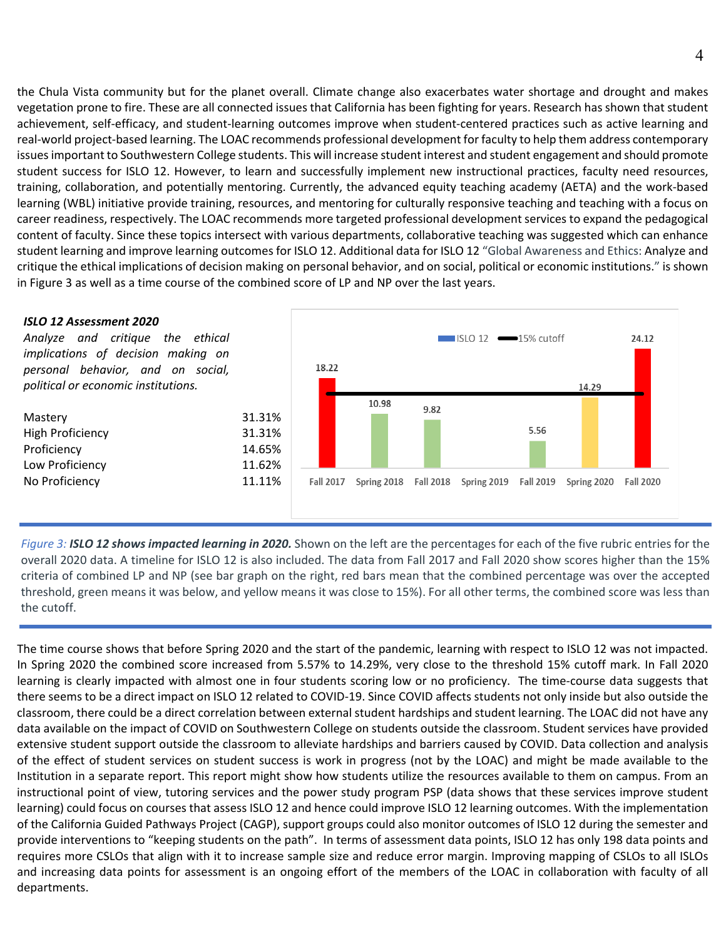the Chula Vista community but for the planet overall. Climate change also exacerbates water shortage and drought and makes vegetation prone to fire. These are all connected issues that California has been fighting for years. Research has shown that student achievement, self-efficacy, and student-learning outcomes improve when student-centered practices such as active learning and real-world project-based learning. The LOAC recommends professional development for faculty to help them address contemporary issues important to Southwestern College students. This will increase student interest and student engagement and should promote student success for ISLO 12. However, to learn and successfully implement new instructional practices, faculty need resources, training, collaboration, and potentially mentoring. Currently, the advanced equity teaching academy (AETA) and the work-based learning (WBL) initiative provide training, resources, and mentoring for culturally responsive teaching and teaching with a focus on career readiness, respectively. The LOAC recommends more targeted professional development services to expand the pedagogical content of faculty. Since these topics intersect with various departments, collaborative teaching was suggested which can enhance student learning and improve learning outcomes for ISLO 12. Additional data for ISLO 12 "Global Awareness and Ethics: Analyze and critique the ethical implications of decision making on personal behavior, and on social, political or economic institutions." is shown in Figure 3 as well as a time course of the combined score of LP and NP over the last years.



*Figure 3: ISLO 12 shows impacted learning in 2020.* Shown on the left are the percentages for each of the five rubric entries for the overall 2020 data. A timeline for ISLO 12 is also included. The data from Fall 2017 and Fall 2020 show scores higher than the 15% criteria of combined LP and NP (see bar graph on the right, red bars mean that the combined percentage was over the accepted threshold, green means it was below, and yellow means it was close to 15%). For all other terms, the combined score was less than the cutoff.

The time course shows that before Spring 2020 and the start of the pandemic, learning with respect to ISLO 12 was not impacted. In Spring 2020 the combined score increased from 5.57% to 14.29%, very close to the threshold 15% cutoff mark. In Fall 2020 learning is clearly impacted with almost one in four students scoring low or no proficiency. The time-course data suggests that there seems to be a direct impact on ISLO 12 related to COVID-19. Since COVID affects students not only inside but also outside the classroom, there could be a direct correlation between external student hardships and student learning. The LOAC did not have any data available on the impact of COVID on Southwestern College on students outside the classroom. Student services have provided extensive student support outside the classroom to alleviate hardships and barriers caused by COVID. Data collection and analysis of the effect of student services on student success is work in progress (not by the LOAC) and might be made available to the Institution in a separate report. This report might show how students utilize the resources available to them on campus. From an instructional point of view, tutoring services and the power study program PSP (data shows that these services improve student learning) could focus on courses that assess ISLO 12 and hence could improve ISLO 12 learning outcomes. With the implementation of the California Guided Pathways Project (CAGP), support groups could also monitor outcomes of ISLO 12 during the semester and provide interventions to "keeping students on the path". In terms of assessment data points, ISLO 12 has only 198 data points and requires more CSLOs that align with it to increase sample size and reduce error margin. Improving mapping of CSLOs to all ISLOs and increasing data points for assessment is an ongoing effort of the members of the LOAC in collaboration with faculty of all departments.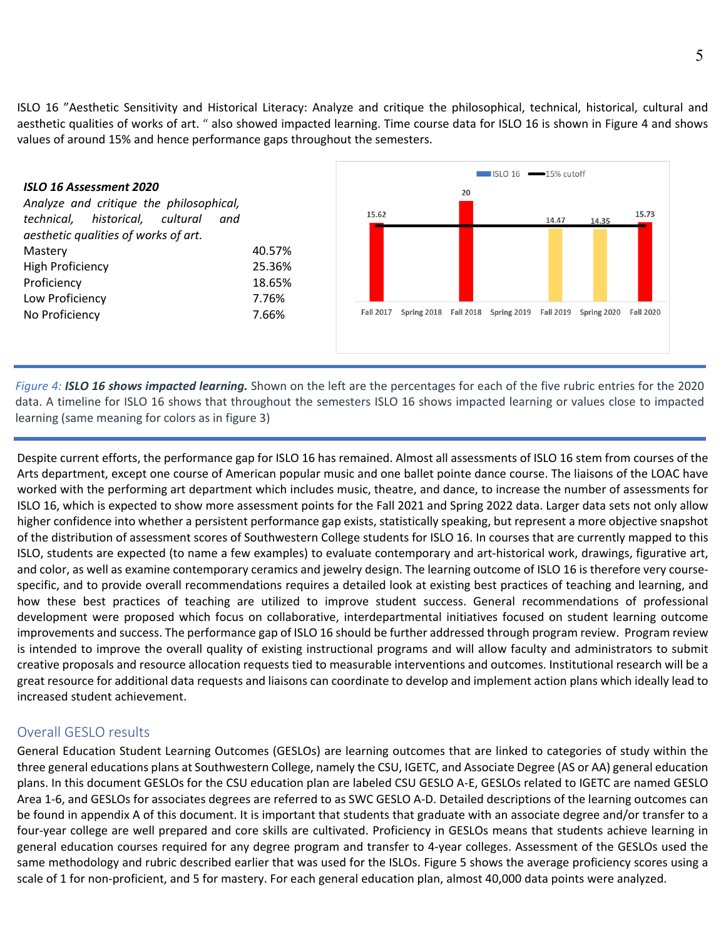ISLO 16 "Aesthetic Sensitivity and Historical Literacy: Analyze and critique the philosophical, technical, historical, cultural and aesthetic qualities of works of art. " also showed impacted learning. Time course data for ISLO 16 is shown in Figure 4 and shows values of around 15% and hence performance gaps throughout the semesters.



*Figure 4: ISLO 16 shows impacted learning.* Shown on the left are the percentages for each of the five rubric entries for the 2020 data. A timeline for ISLO 16 shows that throughout the semesters ISLO 16 shows impacted learning or values close to impacted learning (same meaning for colors as in figure 3)

Despite current efforts, the performance gap for ISLO 16 has remained. Almost all assessments of ISLO 16 stem from courses of the Arts department, except one course of American popular music and one ballet pointe dance course. The liaisons of the LOAC have worked with the performing art department which includes music, theatre, and dance, to increase the number of assessments for ISLO 16, which is expected to show more assessment points for the Fall 2021 and Spring 2022 data. Larger data sets not only allow higher confidence into whether a persistent performance gap exists, statistically speaking, but represent a more objective snapshot of the distribution of assessment scores of Southwestern College students for ISLO 16. In courses that are currently mapped to this ISLO, students are expected (to name a few examples) to evaluate contemporary and art-historical work, drawings, figurative art, and color, as well as examine contemporary ceramics and jewelry design. The learning outcome of ISLO 16 is therefore very coursespecific, and to provide overall recommendations requires a detailed look at existing best practices of teaching and learning, and how these best practices of teaching are utilized to improve student success. General recommendations of professional development were proposed which focus on collaborative, interdepartmental initiatives focused on student learning outcome improvements and success. The performance gap of ISLO 16 should be further addressed through program review. Program review is intended to improve the overall quality of existing instructional programs and will allow faculty and administrators to submit creative proposals and resource allocation requests tied to measurable interventions and outcomes. Institutional research will be a great resource for additional data requests and liaisons can coordinate to develop and implement action plans which ideally lead to increased student achievement.

#### Overall GESLO results

General Education Student Learning Outcomes (GESLOs) are learning outcomes that are linked to categories of study within the three general educations plans at Southwestern College, namely the CSU, IGETC, and Associate Degree (AS or AA) general education plans. In this document GESLOs for the CSU education plan are labeled CSU GESLO A-E, GESLOs related to IGETC are named GESLO Area 1-6, and GESLOs for associates degrees are referred to as SWC GESLO A-D. Detailed descriptions of the learning outcomes can be found in appendix A of this document. It is important that students that graduate with an associate degree and/or transfer to a four-year college are well prepared and core skills are cultivated. Proficiency in GESLOs means that students achieve learning in general education courses required for any degree program and transfer to 4-year colleges. Assessment of the GESLOs used the same methodology and rubric described earlier that was used for the ISLOs. Figure 5 shows the average proficiency scores using a scale of 1 for non-proficient, and 5 for mastery. For each general education plan, almost 40,000 data points were analyzed.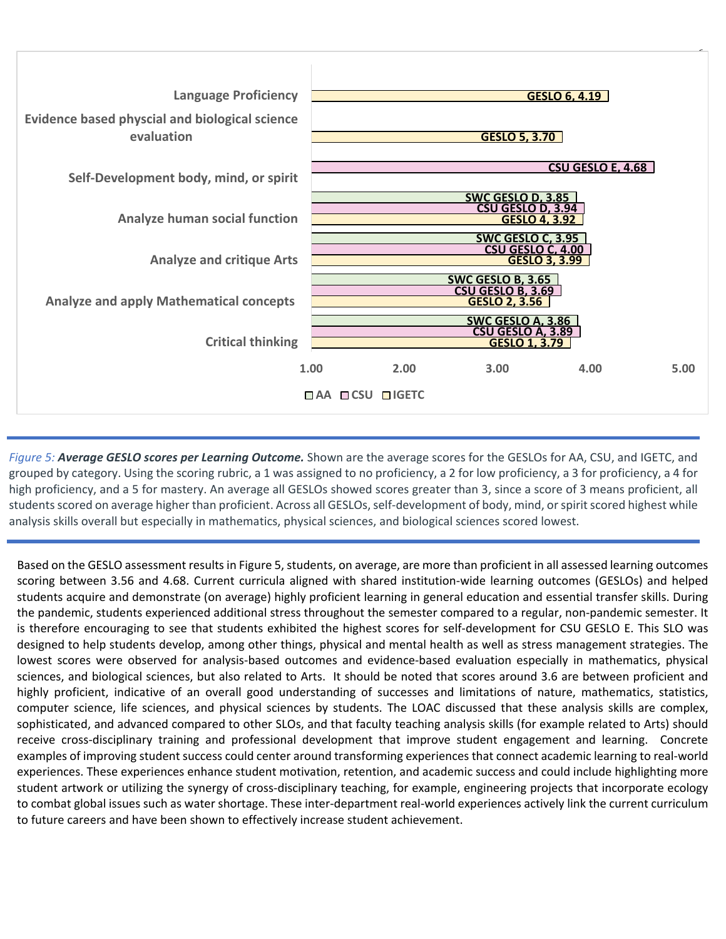

*Figure 5: Average GESLO scores per Learning Outcome.* Shown are the average scores for the GESLOs for AA, CSU, and IGETC, and grouped by category. Using the scoring rubric, a 1 was assigned to no proficiency, a 2 for low proficiency, a 3 for proficiency, a 4 for high proficiency, and a 5 for mastery. An average all GESLOs showed scores greater than 3, since a score of 3 means proficient, all students scored on average higher than proficient. Across all GESLOs, self-development of body, mind, or spirit scored highest while analysis skills overall but especially in mathematics, physical sciences, and biological sciences scored lowest.

Based on the GESLO assessment results in Figure 5, students, on average, are more than proficient in all assessed learning outcomes scoring between 3.56 and 4.68. Current curricula aligned with shared institution-wide learning outcomes (GESLOs) and helped students acquire and demonstrate (on average) highly proficient learning in general education and essential transfer skills. During the pandemic, students experienced additional stress throughout the semester compared to a regular, non-pandemic semester. It is therefore encouraging to see that students exhibited the highest scores for self-development for CSU GESLO E. This SLO was designed to help students develop, among other things, physical and mental health as well as stress management strategies. The lowest scores were observed for analysis-based outcomes and evidence-based evaluation especially in mathematics, physical sciences, and biological sciences, but also related to Arts. It should be noted that scores around 3.6 are between proficient and highly proficient, indicative of an overall good understanding of successes and limitations of nature, mathematics, statistics, computer science, life sciences, and physical sciences by students. The LOAC discussed that these analysis skills are complex, sophisticated, and advanced compared to other SLOs, and that faculty teaching analysis skills (for example related to Arts) should receive cross-disciplinary training and professional development that improve student engagement and learning. Concrete examples of improving student success could center around transforming experiences that connect academic learning to real-world experiences. These experiences enhance student motivation, retention, and academic success and could include highlighting more student artwork or utilizing the synergy of cross-disciplinary teaching, for example, engineering projects that incorporate ecology to combat global issues such as water shortage. These inter-department real-world experiences actively link the current curriculum to future careers and have been shown to effectively increase student achievement.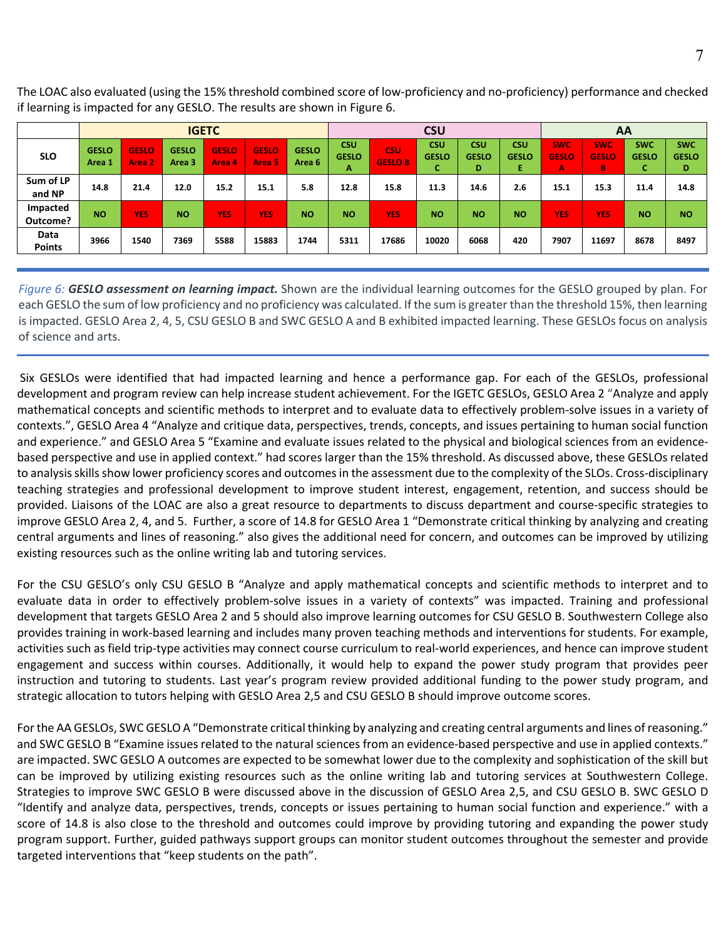The LOAC also evaluated (using the 15% threshold combined score of low-proficiency and no-proficiency) performance and checked if learning is impacted for any GESLO. The results are shown in Figure 6.

|                             | <b>IGETC</b>           |                        |                        |                        | <b>CSU</b>             |                        |                                 |                              |                                  | AA                              |                                 |                                 |                                 |                                  |                                 |
|-----------------------------|------------------------|------------------------|------------------------|------------------------|------------------------|------------------------|---------------------------------|------------------------------|----------------------------------|---------------------------------|---------------------------------|---------------------------------|---------------------------------|----------------------------------|---------------------------------|
| <b>SLO</b>                  | <b>GESLO</b><br>Area 1 | <b>GESLO</b><br>Area 2 | <b>GESLO</b><br>Area 3 | <b>GESLO</b><br>Area 4 | <b>GESLO</b><br>Area 5 | <b>GESLO</b><br>Area 6 | <b>CSU</b><br><b>GESLO</b><br>A | <b>CSU</b><br><b>GESLO B</b> | <b>CSU</b><br><b>GESLO</b><br>τ. | <b>CSU</b><br><b>GESLO</b><br>D | <b>CSU</b><br><b>GESLO</b><br>Ε | <b>SWC</b><br><b>GESLO</b><br>A | <b>SWC</b><br><b>GESLO</b><br>B | <b>SWC</b><br><b>GESLO</b><br>v. | <b>SWC</b><br><b>GESLO</b><br>D |
| Sum of LP<br>and NP         | 14.8                   | 21.4                   | 12.0                   | 15.2                   | 15.1                   | 5.8                    | 12.8                            | 15.8                         | 11.3                             | 14.6                            | 2.6                             | 15.1                            | 15.3                            | 11.4                             | 14.8                            |
| <b>Impacted</b><br>Outcome? | <b>NO</b>              | <b>YES</b>             | <b>NO</b>              | <b>YES</b>             | <b>YES</b>             | <b>NO</b>              | <b>NO</b>                       | <b>YES</b>                   | <b>NO</b>                        | <b>NO</b>                       | <b>NO</b>                       | <b>YES</b>                      | <b>YES</b>                      | <b>NO</b>                        | <b>NO</b>                       |
| Data<br><b>Points</b>       | 3966                   | 1540                   | 7369                   | 5588                   | 15883                  | 1744                   | 5311                            | 17686                        | 10020                            | 6068                            | 420                             | 7907                            | 11697                           | 8678                             | 8497                            |

*Figure 6: GESLO assessment on learning impact.* Shown are the individual learning outcomes for the GESLO grouped by plan. For each GESLO the sum of low proficiency and no proficiency was calculated. If the sum is greater than the threshold 15%, then learning is impacted. GESLO Area 2, 4, 5, CSU GESLO B and SWC GESLO A and B exhibited impacted learning. These GESLOs focus on analysis of science and arts.

Six GESLOs were identified that had impacted learning and hence a performance gap. For each of the GESLOs, professional development and program review can help increase student achievement. For the IGETC GESLOs, GESLO Area 2 "Analyze and apply mathematical concepts and scientific methods to interpret and to evaluate data to effectively problem-solve issues in a variety of contexts.", GESLO Area 4 "Analyze and critique data, perspectives, trends, concepts, and issues pertaining to human social function and experience." and GESLO Area 5 "Examine and evaluate issues related to the physical and biological sciences from an evidencebased perspective and use in applied context." had scores larger than the 15% threshold. As discussed above, these GESLOs related to analysis skills show lower proficiency scores and outcomes in the assessment due to the complexity of the SLOs. Cross-disciplinary teaching strategies and professional development to improve student interest, engagement, retention, and success should be provided. Liaisons of the LOAC are also a great resource to departments to discuss department and course-specific strategies to improve GESLO Area 2, 4, and 5. Further, a score of 14.8 for GESLO Area 1 "Demonstrate critical thinking by analyzing and creating central arguments and lines of reasoning." also gives the additional need for concern, and outcomes can be improved by utilizing existing resources such as the online writing lab and tutoring services.

For the CSU GESLO's only CSU GESLO B "Analyze and apply mathematical concepts and scientific methods to interpret and to evaluate data in order to effectively problem-solve issues in a variety of contexts" was impacted. Training and professional development that targets GESLO Area 2 and 5 should also improve learning outcomes for CSU GESLO B. Southwestern College also provides training in work-based learning and includes many proven teaching methods and interventions for students. For example, activities such as field trip-type activities may connect course curriculum to real-world experiences, and hence can improve student engagement and success within courses. Additionally, it would help to expand the power study program that provides peer instruction and tutoring to students. Last year's program review provided additional funding to the power study program, and strategic allocation to tutors helping with GESLO Area 2,5 and CSU GESLO B should improve outcome scores.

For the AA GESLOs, SWC GESLO A "Demonstrate critical thinking by analyzing and creating central arguments and lines of reasoning." and SWC GESLO B "Examine issues related to the natural sciences from an evidence-based perspective and use in applied contexts." are impacted. SWC GESLO A outcomes are expected to be somewhat lower due to the complexity and sophistication of the skill but can be improved by utilizing existing resources such as the online writing lab and tutoring services at Southwestern College. Strategies to improve SWC GESLO B were discussed above in the discussion of GESLO Area 2,5, and CSU GESLO B. SWC GESLO D "Identify and analyze data, perspectives, trends, concepts or issues pertaining to human social function and experience." with a score of 14.8 is also close to the threshold and outcomes could improve by providing tutoring and expanding the power study program support. Further, guided pathways support groups can monitor student outcomes throughout the semester and provide targeted interventions that "keep students on the path".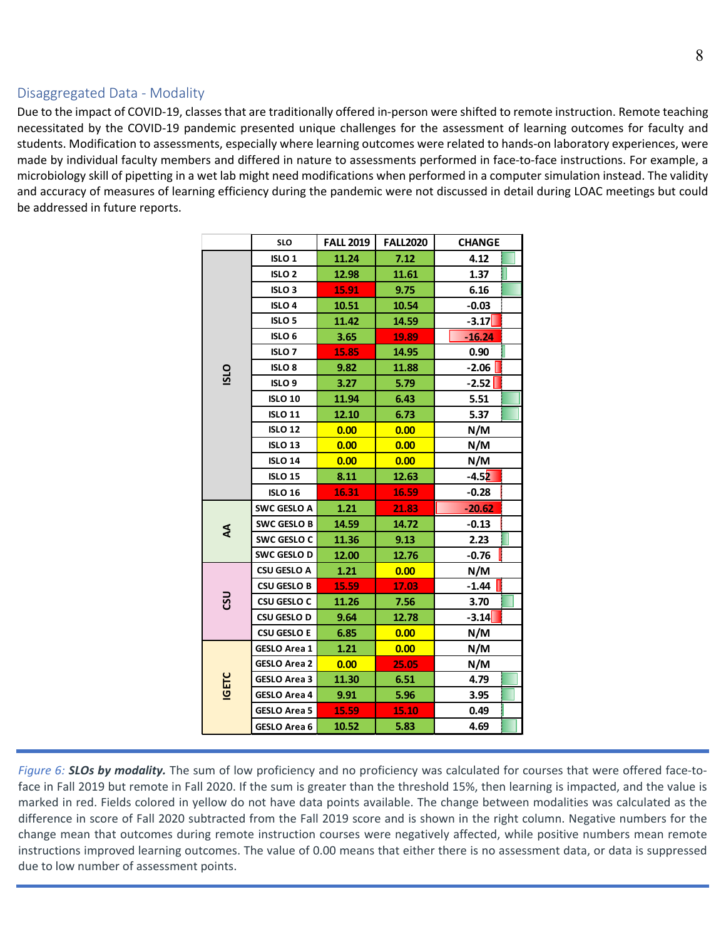#### Disaggregated Data - Modality

Due to the impact of COVID-19, classes that are traditionally offered in-person were shifted to remote instruction. Remote teaching necessitated by the COVID-19 pandemic presented unique challenges for the assessment of learning outcomes for faculty and students. Modification to assessments, especially where learning outcomes were related to hands-on laboratory experiences, were made by individual faculty members and differed in nature to assessments performed in face-to-face instructions. For example, a microbiology skill of pipetting in a wet lab might need modifications when performed in a computer simulation instead. The validity and accuracy of measures of learning efficiency during the pandemic were not discussed in detail during LOAC meetings but could be addressed in future reports.

|                           | <b>SLO</b>          | <b>FALL 2019</b> | <b>FALL2020</b> | <b>CHANGE</b> |
|---------------------------|---------------------|------------------|-----------------|---------------|
|                           | ISLO <sub>1</sub>   | 11.24            | 7.12            | 4.12          |
|                           | ISLO <sub>2</sub>   | 12.98            | 11.61           | 1.37          |
|                           | ISLO <sub>3</sub>   | 15.91            | 9.75            | 6.16          |
|                           | <b>ISLO 4</b>       | 10.51            | 10.54           | $-0.03$       |
|                           | ISLO <sub>5</sub>   | 11.42            | 14.59           | $-3.17$       |
|                           | ISLO <sub>6</sub>   | 3.65             | 19.89           | $-16.24$      |
|                           | <b>ISLO7</b>        | 15.85            | 14.95           | 0.90          |
| OTSI                      | <b>ISLO 8</b>       | 9.82             | 11.88           | $-2.06$       |
|                           | ISLO <sub>9</sub>   | 3.27             | 5.79            | $-2.52$       |
|                           | <b>ISLO 10</b>      | 11.94            | 6.43            | 5.51          |
|                           | <b>ISLO 11</b>      | 12.10            | 6.73            | 5.37          |
|                           | <b>ISLO 12</b>      | 0.00             | 0.00            | N/M           |
|                           | <b>ISLO 13</b>      | 0.00             | 0.00            | N/M           |
|                           | <b>ISLO 14</b>      | 0.00             | 0.00            | N/M           |
|                           | <b>ISLO 15</b>      | 8.11             | 12.63           | $-4.52$       |
|                           | <b>ISLO 16</b>      | 16.31            | 16.59           | $-0.28$       |
|                           | <b>SWC GESLO A</b>  | 1.21             | 21.83           | $-20.62$      |
| $\boldsymbol{\mathsf{z}}$ | <b>SWC GESLO B</b>  | 14.59            | 14.72           | $-0.13$       |
|                           | SWC GESLO C         | 11.36            | 9.13            | 2.23          |
|                           | SWC GESLO D         | 12.00            | 12.76           | $-0.76$       |
|                           | <b>CSU GESLO A</b>  | 1.21             | 0.00            | N/M           |
|                           | <b>CSU GESLO B</b>  | 15.59            | 17.03           | $-1.44$       |
| ຮູ                        | <b>CSU GESLO C</b>  | 11.26            | 7.56            | 3.70          |
|                           | <b>CSU GESLO D</b>  | 9.64             | 12.78           | $-3.14$       |
|                           | <b>CSU GESLO E</b>  | 6.85             | 0.00            | N/M           |
|                           | <b>GESLO Area 1</b> | 1.21             | 0.00            | N/M           |
|                           | <b>GESLO Area 2</b> | 0.00             | 25.05           | N/M           |
| <b>IGETC</b>              | <b>GESLO Area 3</b> | 11.30            | 6.51            | 4.79          |
|                           | <b>GESLO Area 4</b> | 9.91             | 5.96            | 3.95          |
|                           | <b>GESLO Area 5</b> | 15.59            | 15.10           | 0.49          |
|                           | GESLO Area 6        | 10.52            | 5.83            | 4.69          |

*Figure 6: SLOs by modality.* The sum of low proficiency and no proficiency was calculated for courses that were offered face-toface in Fall 2019 but remote in Fall 2020. If the sum is greater than the threshold 15%, then learning is impacted, and the value is marked in red. Fields colored in yellow do not have data points available. The change between modalities was calculated as the difference in score of Fall 2020 subtracted from the Fall 2019 score and is shown in the right column. Negative numbers for the change mean that outcomes during remote instruction courses were negatively affected, while positive numbers mean remote instructions improved learning outcomes. The value of 0.00 means that either there is no assessment data, or data is suppressed due to low number of assessment points.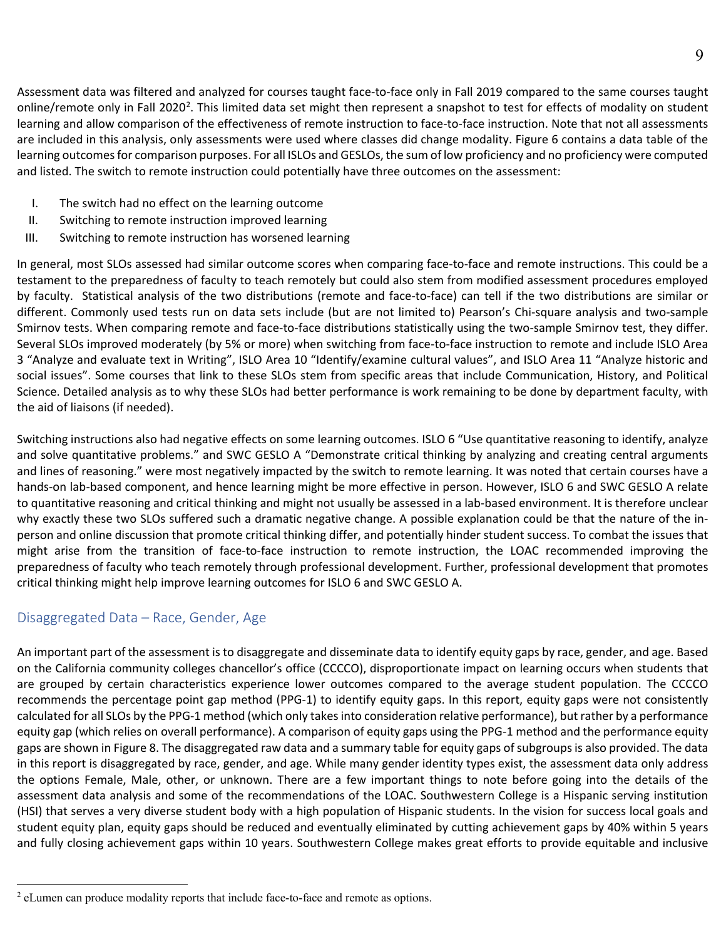Assessment data was filtered and analyzed for courses taught face-to-face only in Fall 2019 compared to the same courses taught online/remote only in Fall [2](#page-8-0)020<sup>2</sup>. This limited data set might then represent a snapshot to test for effects of modality on student learning and allow comparison of the effectiveness of remote instruction to face-to-face instruction. Note that not all assessments are included in this analysis, only assessments were used where classes did change modality. Figure 6 contains a data table of the learning outcomes for comparison purposes. For all ISLOs and GESLOs, the sum of low proficiency and no proficiency were computed and listed. The switch to remote instruction could potentially have three outcomes on the assessment:

9

- I. The switch had no effect on the learning outcome
- II. Switching to remote instruction improved learning
- III. Switching to remote instruction has worsened learning

In general, most SLOs assessed had similar outcome scores when comparing face-to-face and remote instructions. This could be a testament to the preparedness of faculty to teach remotely but could also stem from modified assessment procedures employed by faculty. Statistical analysis of the two distributions (remote and face-to-face) can tell if the two distributions are similar or different. Commonly used tests run on data sets include (but are not limited to) Pearson's Chi-square analysis and two-sample Smirnov tests. When comparing remote and face-to-face distributions statistically using the two-sample Smirnov test, they differ. Several SLOs improved moderately (by 5% or more) when switching from face-to-face instruction to remote and include ISLO Area 3 "Analyze and evaluate text in Writing", ISLO Area 10 "Identify/examine cultural values", and ISLO Area 11 "Analyze historic and social issues". Some courses that link to these SLOs stem from specific areas that include Communication, History, and Political Science. Detailed analysis as to why these SLOs had better performance is work remaining to be done by department faculty, with the aid of liaisons (if needed).

Switching instructions also had negative effects on some learning outcomes. ISLO 6 "Use quantitative reasoning to identify, analyze and solve quantitative problems." and SWC GESLO A "Demonstrate critical thinking by analyzing and creating central arguments and lines of reasoning." were most negatively impacted by the switch to remote learning. It was noted that certain courses have a hands-on lab-based component, and hence learning might be more effective in person. However, ISLO 6 and SWC GESLO A relate to quantitative reasoning and critical thinking and might not usually be assessed in a lab-based environment. It is therefore unclear why exactly these two SLOs suffered such a dramatic negative change. A possible explanation could be that the nature of the inperson and online discussion that promote critical thinking differ, and potentially hinder student success. To combat the issues that might arise from the transition of face-to-face instruction to remote instruction, the LOAC recommended improving the preparedness of faculty who teach remotely through professional development. Further, professional development that promotes critical thinking might help improve learning outcomes for ISLO 6 and SWC GESLO A.

#### Disaggregated Data – Race, Gender, Age

An important part of the assessment is to disaggregate and disseminate data to identify equity gaps by race, gender, and age. Based on the California community colleges chancellor's office (CCCCO), disproportionate impact on learning occurs when students that are grouped by certain characteristics experience lower outcomes compared to the average student population. The CCCCO recommends the percentage point gap method (PPG-1) to identify equity gaps. In this report, equity gaps were not consistently calculated for all SLOs by the PPG-1 method (which only takes into consideration relative performance), but rather by a performance equity gap (which relies on overall performance). A comparison of equity gaps using the PPG-1 method and the performance equity gaps are shown in Figure 8. The disaggregated raw data and a summary table for equity gaps of subgroups is also provided. The data in this report is disaggregated by race, gender, and age. While many gender identity types exist, the assessment data only address the options Female, Male, other, or unknown. There are a few important things to note before going into the details of the assessment data analysis and some of the recommendations of the LOAC. Southwestern College is a Hispanic serving institution (HSI) that serves a very diverse student body with a high population of Hispanic students. In the vision for success local goals and student equity plan, equity gaps should be reduced and eventually eliminated by cutting achievement gaps by 40% within 5 years and fully closing achievement gaps within 10 years. Southwestern College makes great efforts to provide equitable and inclusive

<span id="page-8-0"></span><sup>&</sup>lt;sup>2</sup> eLumen can produce modality reports that include face-to-face and remote as options.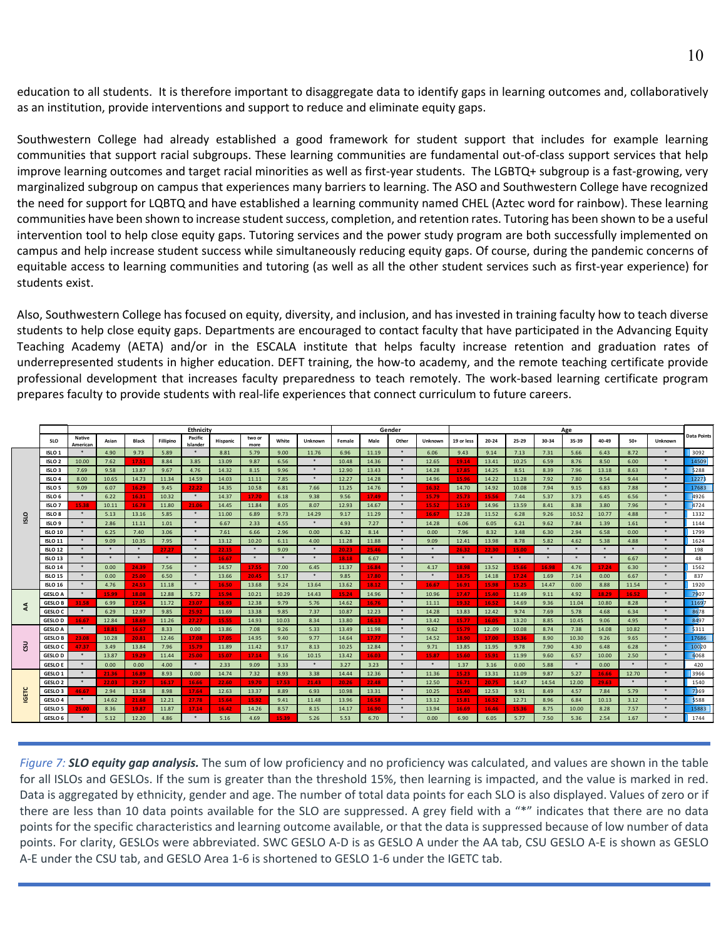education to all students. It is therefore important to disaggregate data to identify gaps in learning outcomes and, collaboratively as an institution, provide interventions and support to reduce and eliminate equity gaps.

Southwestern College had already established a good framework for student support that includes for example learning communities that support racial subgroups. These learning communities are fundamental out-of-class support services that help improve learning outcomes and target racial minorities as well as first-year students. The LGBTQ+ subgroup is a fast-growing, very marginalized subgroup on campus that experiences many barriers to learning. The ASO and Southwestern College have recognized the need for support for LQBTQ and have established a learning community named CHEL (Aztec word for rainbow). These learning communities have been shown to increase student success, completion, and retention rates. Tutoring has been shown to be a useful intervention tool to help close equity gaps. Tutoring services and the power study program are both successfully implemented on campus and help increase student success while simultaneously reducing equity gaps. Of course, during the pandemic concerns of equitable access to learning communities and tutoring (as well as all the other student services such as first-year experience) for students exist.

Also, Southwestern College has focused on equity, diversity, and inclusion, and has invested in training faculty how to teach diverse students to help close equity gaps. Departments are encouraged to contact faculty that have participated in the Advancing Equity Teaching Academy (AETA) and/or in the ESCALA institute that helps faculty increase retention and graduation rates of underrepresented students in higher education. DEFT training, the how-to academy, and the remote teaching certificate provide professional development that increases faculty preparedness to teach remotely. The work-based learning certificate program prepares faculty to provide students with real-life experiences that connect curriculum to future careers.

|             |                                      | Ethnicity                 |                |               |               |                     |                |                | Gender       |                 |               | Age           |               |                 |                |                |               |              |                |               |                |                   |                    |
|-------------|--------------------------------------|---------------------------|----------------|---------------|---------------|---------------------|----------------|----------------|--------------|-----------------|---------------|---------------|---------------|-----------------|----------------|----------------|---------------|--------------|----------------|---------------|----------------|-------------------|--------------------|
|             | <b>SLO</b>                           | <b>Native</b><br>American | Asian          | <b>Black</b>  | Fillipino     | Pacific<br>Islander | Hispanic       | two or<br>more | White        | Unknown         | Female        | Male          | Other         | Unknown         | 19 or less     | $20 - 24$      | 25-29         | 30-34        | 35-39          | 40-49         | $50+$          | <b>Unknown</b>    | <b>Data Points</b> |
|             | ISLO <sub>1</sub>                    | $\ast$                    | 4.90           | 9.73          | 5.89          | $\ast$              | 8.81           | 5.79           | 9.00         | 11.76           | 6.96          | 11.19         | $\ast$        | 6.06            | 9.43           | 9.14           | 7.13          | 7.31         | 5.66           | 6.43          | 8.72           | ×                 | 3092               |
|             | ISLO <sub>2</sub>                    | 10.00                     | 7.62           | 17.51         | 8.84          | 3.85                | 13.09          | 9.87           | 6.56         | $\ast$          | 10.48         | 14.36         | $\star$       | 12.65           | 19.14          | 13.41          | 10.25         | 6.59         | 8.76           | 8.50          | 6.00           | $\star$           | 14509              |
|             | ISLO <sub>3</sub>                    | 7.69                      | 9.58           | 13.87         | 9.67          | 4.76                | 14.32          | 8.15           | 9.96         | $\ast$          | 12.90         | 13.43         | $\star$       | 14.28           | 17.85          | 14.25          | 8.51          | 8.39         | 7.96           | 13.18         | 8.63           |                   | 5288               |
|             | ISLO <sub>4</sub>                    | 8.00                      | 10.65          | 14.73         | 11.34         | 14.59               | 14.03          | 11.11          | 7.85         | $\ast$          | 12.27         | 14.28         | $\ast$        | 14.96           | 15.96          | 14.22          | 11.28         | 7.92         | 7.80           | 9.54          | 9.44           | $\ast$            | 12273              |
|             | ISLO <sub>5</sub>                    | 9.09                      | 6.07           | 16.29         | 9.45          | 22.22               | 14.35          | 10.58          | 6.81         | 7.66            | 11.25         | 14.76         | $\ast$        | 16.32           | 14.70          | 14.92          | 10.08         | 7.94         | 9.15           | 6.83          | 7.88           |                   | 17683              |
|             | ISLO <sub>6</sub>                    | $\ast$                    | 6.22           | 16.31         | 10.32         | $\ast$              | 14.37          | 17.70          | 6.18         | 9.38            | 9.56          | 17.49         | $\ast$        | 15.79           | 25.73          | 15.56          | 7.44          | 5.37         | 3.73           | 6.45          | 6.56           | $\ast$            | 4926               |
|             | ISLO <sub>7</sub>                    | 15.38                     | 10.11          | 16.78         | 11.80         | 21.06               | 14.45          | 11.84          | 8.05         | 8.07            | 12.93         | 14.67         | $\ast$        | 15.52           | 15.19          | 14.96          | 13.59         | 8.41         | 8.38           | 3.80          | 7.96           |                   | 4724               |
| <b>QISI</b> | ISLO <sub>8</sub>                    | $\ast$                    | 5.13           | 13.16         | 5.85          | $\ast$              | 11.00          | 6.89           | 9.73         | 14.29           | 9.17          | 11.29         | $\ast$        | 16.67           | 12.28          | 11.52          | 6.28          | 9.26         | 10.52          | 10.77         | 4.88           |                   | 1332               |
|             | ISLO <sub>9</sub>                    | $\ast$                    | 2.86           | 11.11         | 1.01          | $\ast$              | 6.67           | 2.33           | 4.55         | $\ast$          | 4.93          | 7.27          | $\ast$        | 14.28           | 6.06           | 6.05           | 6.21          | 9.62         | 7.84           | 1.39          | 1.61           | $\ast$            | 1144               |
|             | <b>ISLO 10</b>                       | $\ast$                    | 6.25           | 7.40          | 3.06          | $\ast$              | 7.61           | 6.66           | 2.96         | 0.00            | 6.32          | 8.14          | $\ast$        | 0.00            | 7.96           | 8.32           | 3.48          | 6.30         | 2.94           | 6.58          | 0.00           |                   | 1799               |
|             | <b>ISLO 11</b>                       | $\ast$                    | 9.09           | 10.35         | 7.95          | $\ast$              | 13.12          | 10.20          | 6.11         | 4.00            | 11.28         | 11.88         | $\ast$        | 9.09            | 12.41          | 13.98          | 8.78          | 5.82         | 4.62           | 5.38          | 4.88           | $\ast$            | 1624               |
|             | <b>ISLO 12</b>                       | $\ast$                    | $\ast$         | $\ast$        | 27.27         | $\ast$              | 22.15          | $\ast$         | 9.09         | $\ast$          | 20.23         | 25.46         | $\ast$        | $\ast$          | 26.32          | 22.30          | 15.00         | $\ast$       | $\ast$         | $\ast$        | $\ast$         |                   | 198                |
|             | ISLO <sub>13</sub>                   | $\star$                   | $\star$        | $\ast$        | $\ast$        | $\ast$              | 16.67          | $\ast$         |              | $\ast$          | 18.18         | 6.67          | $\star$       | $\star$         | $\ast$         | $\ast$         | $\ast$        | $\ast$       | $\ast$         | $\ast$        | 6.67           |                   | 48                 |
|             | <b>ISLO 14</b>                       | $\ast$                    | 0.00           | 24.39         | 7.56          | $\ast$              | 14.57          | 17.55          | 7.00         | 6.45            | 11.37         | 16.84         | $\ast$        | 4.17            | 18.98          | 13.52          | 15.66         | 16.98        | 4.76           | 17.24         | 6.30           |                   | 1562               |
|             | <b>ISLO 15</b>                       | $\ast$                    | 0.00           | 25.00         | 6.50          | $\ast$              | 13.66          | 20.45          | 5.17         | $\ast$          | 9.85          | 17.80         | $\ast$        | $\ast$          | 18.75          | 14.18          | 17.24         | 1.69         | 7.14           | 0.00          | 6.67           |                   | 837                |
|             | <b>ISLO 16</b>                       | $\ast$                    | 4.76           | 24.53         | 11.18         | $\ast$              | 16.50          | 13.68          | 9.24         | 13.64           | 13.62         | 18.12         | $\ast$        | 16.67           | 16.91          | 15.98          | 15.25         | 14.47        | 0.00           | 8.88          | 11.54          | $\ast$            | 1920               |
|             | <b>GESLO A</b>                       | $\ast$                    | 15.99          | 18.08         | 12.88         | 5.72                | 15.94          | 10.21          | 10.29        | 14.43           | 15.24         | 14.96         | $\ast$        | 10.96           | 17.47          | 15.40          | 11.49         | 9.11         | 4.92           | 18.29         | 16.52          |                   | 7907               |
| វ           | <b>GESLO B</b>                       | 31.58                     | 6.99           | 17.54         | 11.72         | 23.07               | 16.93          | 12.38          | 9.79         | 5.76            | 14.62         | 16.76         | $\ast$        | 11.11           | 19.32          | 16.52          | 14.69         | 9.36         | 11.04          | 10.80         | 8.28           |                   | 11697              |
|             | <b>GESLO C</b>                       | $\ast$                    | 6.29           | 12.97         | 9.85          | 25.92               | 11.69          | 13.38          | 9.85         | 7.37            | 10.87         | 12.23         | $\ast$        | 14.28           | 13.83          | 12.42          | 9.74          | 7.69         | 5.78           | 4.68          | 6.34           | $\ast$<br>$\star$ | 8678               |
|             | <b>GESLO D</b>                       | 16.67                     | 12.84          | 18.69         | 11.26         | 27.27               | 15.55          | 14.93          | 10.03        | 8.34            | 13.80         | 16.13         | $\ast$        | 13.42           | 15.77          | 16.05          | 13.20         | 8.85         | 10.45          | 9.06          | 4.95           |                   | 8497               |
|             | <b>GESLO A</b>                       | $\ast$                    | 18.81          | 16.67         | 8.33          | 0.00                | 13.86          | 7.08           | 9.26         | 5.33            | 13.49         | 11.98         | $*$<br>$\ast$ | 9.62            | 15.79          | 12.09          | 10.08         | 8.74         | 7.38           | 14.08         | 10.82          | $\ast$<br>$\star$ | 5311               |
| ಕ           | <b>GESLO B</b>                       | 23.08                     | 10.28          | 20.81         | 12.46         | 17.08               | 17.05          | 14.95          | 9.40         | 9.77            | 14.64         | 17.77         | $\ast$        | 14.52           | 18.90          | 17.00          | 15.36         | 8.90         | 10.30          | 9.26          | 9.65           | $\ast$            | 17686              |
|             | GESLO C                              | 47.37<br>$\ast$           | 3.49           | 13.84         | 7.96          | 15.79               | 11.89          | 11.42          | 9.17         | 8.13            | 10.25         | 12.84         | $\ast$        | 9.71            | 13.85          | 11.95          | 9.78          | 7.90         | 4.30           | 6.48          | 6.28           |                   | 10020              |
|             | <b>GESLO D</b>                       | $\ast$                    | 13.87          | 19.29         | 11.44         | 25.00<br>$\ast$     | 15.07          | 17.14          | 9.16         | 10.15<br>$\ast$ | 13.42         | 16.03         | $\ast$        | 15.87<br>$\ast$ | 15.60          | 15.91          | 11.99         | 9.60         | 6.57<br>$\ast$ | 10.00         | 2.50<br>$\ast$ |                   | 6068               |
|             | <b>GESLO E</b><br>GESLO <sub>1</sub> | $\ast$                    | 0.00           | 0.00<br>16.89 | 4.00<br>8.93  | 0.00                | 2.33<br>14.74  | 9.09<br>7.32   | 3.33<br>8.93 | 3.38            | 3.27<br>14.44 | 3.23<br>12.36 | $*$           | 11.36           | 1.37<br>15.23  | 3.16<br>13.31  | 0.00<br>11.09 | 5.88<br>9.87 | 5.27           | 0.00<br>16.66 | 12.70          | $\ast$            | 420<br>3966        |
|             | GESLO <sub>2</sub>                   | $\ast$                    | 21.36<br>22.03 | 29.27         |               |                     |                | 19.70          | 17.53        |                 | 20.26         | 22.48         | $\ast$        | 12.50           |                |                | 14.47         | 14.54        | 12.00          | 29.63         | $\ast$         | ×                 | 1540               |
|             | GESLO <sub>3</sub>                   | 46.67                     | 2.94           | 13.58         | 16.17<br>8.98 | 16.66<br>17.64      | 22.60<br>12.63 | 13.37          | 8.89         | 21.43<br>6.93   | 10.98         | 13.31         | $\ast$        | 10.25           | 26.71<br>15.40 | 20.75<br>12.53 | 9.91          | 8.49         | 4.57           | 7.84          | 5.79           |                   | 7369               |
| GETC        | GESLO 4                              | $\ast$                    | 14.62          | 21.68         | 12.21         | 27.78               | 15.64          | 15.92          | 9.41         | 11.48           | 13.96         | 16.58         | $\ast$        | 13.12           | 15.81          | 16.52          | 12.71         | 8.96         | 6.84           | 10.13         | 3.12           | *                 | 5588               |
|             | <b>GESLO 5</b>                       | 25.00                     | 8.36           | 19.87         | 11.87         | 17.14               | 16.42          | 14.26          | 8.57         | 8.15            | 14.17         | 16.90         | $\ast$        | 13.94           | 16.69          | 16.46          | 15.36         | 8.75         | 10.00          | 8.28          | 7.57           | ×                 | 15883              |
|             | GESLO <sub>6</sub>                   | $\ast$                    | 5.12           | 12.20         | 4.86          | $\ast$              | 5.16           | 4.69           | 15.39        | 5.26            | 5.53          | 6.70          |               | 0.00            | 6.90           | 6.05           | 5.77          | 7.50         | 5.36           | 2.54          | 1.67           |                   | 1744               |
|             |                                      |                           |                |               |               |                     |                |                |              |                 |               |               |               |                 |                |                |               |              |                |               |                |                   |                    |

*Figure 7: SLO equity gap analysis.* The sum of low proficiency and no proficiency was calculated, and values are shown in the table for all ISLOs and GESLOs. If the sum is greater than the threshold 15%, then learning is impacted, and the value is marked in red. Data is aggregated by ethnicity, gender and age. The number of total data points for each SLO is also displayed. Values of zero or if there are less than 10 data points available for the SLO are suppressed. A grey field with a "\*" indicates that there are no data points for the specific characteristics and learning outcome available, or that the data is suppressed because of low number of data points. For clarity, GESLOs were abbreviated. SWC GESLO A-D is as GESLO A under the AA tab, CSU GESLO A-E is shown as GESLO A-E under the CSU tab, and GESLO Area 1-6 is shortened to GESLO 1-6 under the IGETC tab.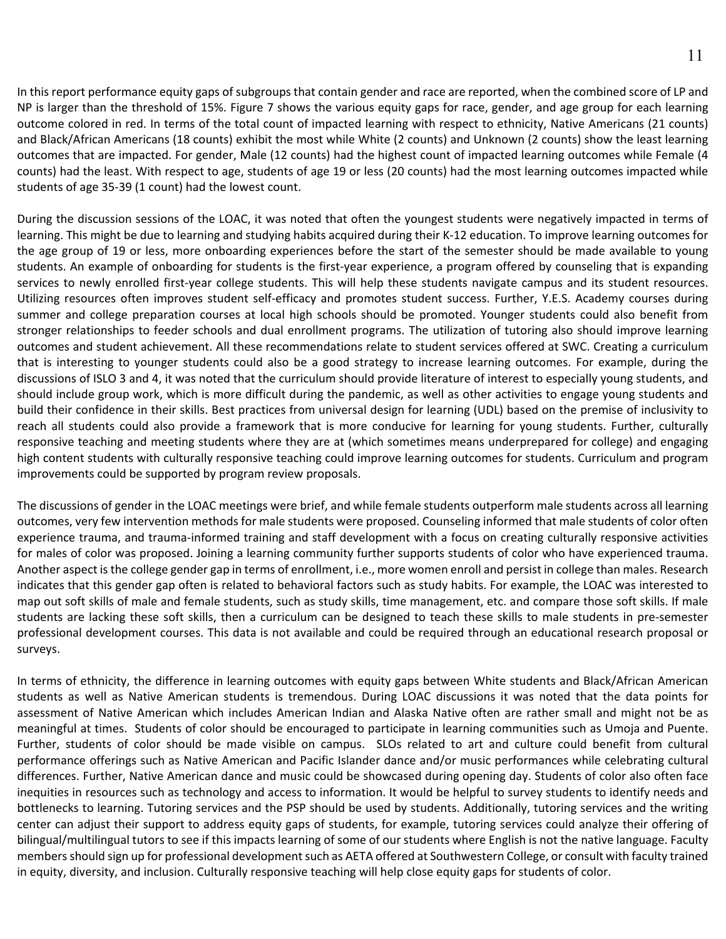In this report performance equity gaps of subgroups that contain gender and race are reported, when the combined score of LP and NP is larger than the threshold of 15%. Figure 7 shows the various equity gaps for race, gender, and age group for each learning outcome colored in red. In terms of the total count of impacted learning with respect to ethnicity, Native Americans (21 counts) and Black/African Americans (18 counts) exhibit the most while White (2 counts) and Unknown (2 counts) show the least learning outcomes that are impacted. For gender, Male (12 counts) had the highest count of impacted learning outcomes while Female (4 counts) had the least. With respect to age, students of age 19 or less (20 counts) had the most learning outcomes impacted while students of age 35-39 (1 count) had the lowest count.

During the discussion sessions of the LOAC, it was noted that often the youngest students were negatively impacted in terms of learning. This might be due to learning and studying habits acquired during their K-12 education. To improve learning outcomes for the age group of 19 or less, more onboarding experiences before the start of the semester should be made available to young students. An example of onboarding for students is the first-year experience, a program offered by counseling that is expanding services to newly enrolled first-year college students. This will help these students navigate campus and its student resources. Utilizing resources often improves student self-efficacy and promotes student success. Further, Y.E.S. Academy courses during summer and college preparation courses at local high schools should be promoted. Younger students could also benefit from stronger relationships to feeder schools and dual enrollment programs. The utilization of tutoring also should improve learning outcomes and student achievement. All these recommendations relate to student services offered at SWC. Creating a curriculum that is interesting to younger students could also be a good strategy to increase learning outcomes. For example, during the discussions of ISLO 3 and 4, it was noted that the curriculum should provide literature of interest to especially young students, and should include group work, which is more difficult during the pandemic, as well as other activities to engage young students and build their confidence in their skills. Best practices from universal design for learning (UDL) based on the premise of inclusivity to reach all students could also provide a framework that is more conducive for learning for young students. Further, culturally responsive teaching and meeting students where they are at (which sometimes means underprepared for college) and engaging high content students with culturally responsive teaching could improve learning outcomes for students. Curriculum and program improvements could be supported by program review proposals.

The discussions of gender in the LOAC meetings were brief, and while female students outperform male students across all learning outcomes, very few intervention methods for male students were proposed. Counseling informed that male students of color often experience trauma, and trauma-informed training and staff development with a focus on creating culturally responsive activities for males of color was proposed. Joining a learning community further supports students of color who have experienced trauma. Another aspect is the college gender gap in terms of enrollment, i.e., more women enroll and persist in college than males. Research indicates that this gender gap often is related to behavioral factors such as study habits. For example, the LOAC was interested to map out soft skills of male and female students, such as study skills, time management, etc. and compare those soft skills. If male students are lacking these soft skills, then a curriculum can be designed to teach these skills to male students in pre-semester professional development courses. This data is not available and could be required through an educational research proposal or surveys.

In terms of ethnicity, the difference in learning outcomes with equity gaps between White students and Black/African American students as well as Native American students is tremendous. During LOAC discussions it was noted that the data points for assessment of Native American which includes American Indian and Alaska Native often are rather small and might not be as meaningful at times. Students of color should be encouraged to participate in learning communities such as Umoja and Puente. Further, students of color should be made visible on campus. SLOs related to art and culture could benefit from cultural performance offerings such as Native American and Pacific Islander dance and/or music performances while celebrating cultural differences. Further, Native American dance and music could be showcased during opening day. Students of color also often face inequities in resources such as technology and access to information. It would be helpful to survey students to identify needs and bottlenecks to learning. Tutoring services and the PSP should be used by students. Additionally, tutoring services and the writing center can adjust their support to address equity gaps of students, for example, tutoring services could analyze their offering of bilingual/multilingual tutors to see if this impacts learning of some of our students where English is not the native language. Faculty members should sign up for professional development such as AETA offered at Southwestern College, or consult with faculty trained in equity, diversity, and inclusion. Culturally responsive teaching will help close equity gaps for students of color.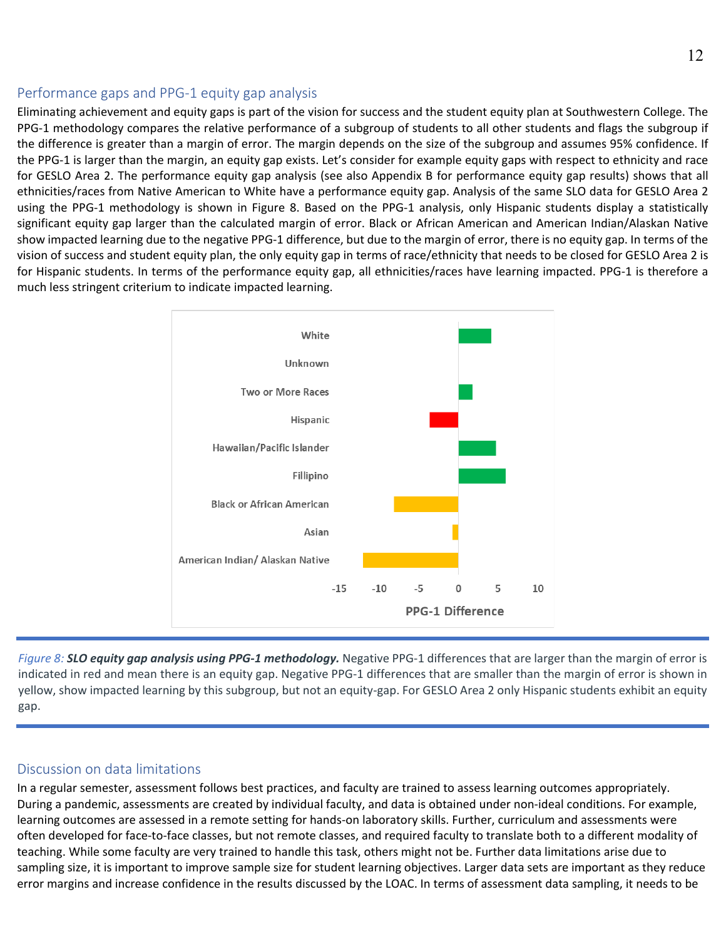#### Performance gaps and PPG-1 equity gap analysis

Eliminating achievement and equity gaps is part of the vision for success and the student equity plan at Southwestern College. The PPG-1 methodology compares the relative performance of a subgroup of students to all other students and flags the subgroup if the difference is greater than a margin of error. The margin depends on the size of the subgroup and assumes 95% confidence. If the PPG-1 is larger than the margin, an equity gap exists. Let's consider for example equity gaps with respect to ethnicity and race for GESLO Area 2. The performance equity gap analysis (see also Appendix B for performance equity gap results) shows that all ethnicities/races from Native American to White have a performance equity gap. Analysis of the same SLO data for GESLO Area 2 using the PPG-1 methodology is shown in Figure 8. Based on the PPG-1 analysis, only Hispanic students display a statistically significant equity gap larger than the calculated margin of error. Black or African American and American Indian/Alaskan Native show impacted learning due to the negative PPG-1 difference, but due to the margin of error, there is no equity gap. In terms of the vision of success and student equity plan, the only equity gap in terms of race/ethnicity that needs to be closed for GESLO Area 2 is for Hispanic students. In terms of the performance equity gap, all ethnicities/races have learning impacted. PPG-1 is therefore a much less stringent criterium to indicate impacted learning.



*Figure 8: SLO equity gap analysis using PPG-1 methodology.* Negative PPG-1 differences that are larger than the margin of error is indicated in red and mean there is an equity gap. Negative PPG-1 differences that are smaller than the margin of error is shown in yellow, show impacted learning by this subgroup, but not an equity-gap. For GESLO Area 2 only Hispanic students exhibit an equity gap.

#### Discussion on data limitations

In a regular semester, assessment follows best practices, and faculty are trained to assess learning outcomes appropriately. During a pandemic, assessments are created by individual faculty, and data is obtained under non-ideal conditions. For example, learning outcomes are assessed in a remote setting for hands-on laboratory skills. Further, curriculum and assessments were often developed for face-to-face classes, but not remote classes, and required faculty to translate both to a different modality of teaching. While some faculty are very trained to handle this task, others might not be. Further data limitations arise due to sampling size, it is important to improve sample size for student learning objectives. Larger data sets are important as they reduce error margins and increase confidence in the results discussed by the LOAC. In terms of assessment data sampling, it needs to be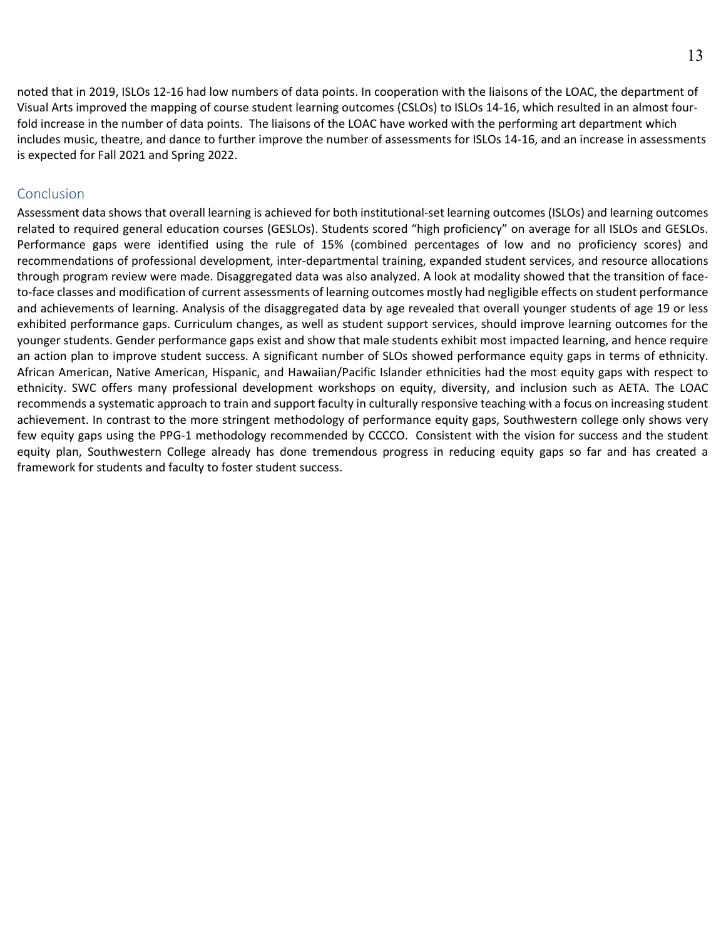noted that in 2019, ISLOs 12-16 had low numbers of data points. In cooperation with the liaisons of the LOAC, the department of Visual Arts improved the mapping of course student learning outcomes (CSLOs) to ISLOs 14-16, which resulted in an almost fourfold increase in the number of data points. The liaisons of the LOAC have worked with the performing art department which includes music, theatre, and dance to further improve the number of assessments for ISLOs 14-16, and an increase in assessments is expected for Fall 2021 and Spring 2022.

#### Conclusion

Assessment data shows that overall learning is achieved for both institutional-set learning outcomes (ISLOs) and learning outcomes related to required general education courses (GESLOs). Students scored "high proficiency" on average for all ISLOs and GESLOs. Performance gaps were identified using the rule of 15% (combined percentages of low and no proficiency scores) and recommendations of professional development, inter-departmental training, expanded student services, and resource allocations through program review were made. Disaggregated data was also analyzed. A look at modality showed that the transition of faceto-face classes and modification of current assessments of learning outcomes mostly had negligible effects on student performance and achievements of learning. Analysis of the disaggregated data by age revealed that overall younger students of age 19 or less exhibited performance gaps. Curriculum changes, as well as student support services, should improve learning outcomes for the younger students. Gender performance gaps exist and show that male students exhibit most impacted learning, and hence require an action plan to improve student success. A significant number of SLOs showed performance equity gaps in terms of ethnicity. African American, Native American, Hispanic, and Hawaiian/Pacific Islander ethnicities had the most equity gaps with respect to ethnicity. SWC offers many professional development workshops on equity, diversity, and inclusion such as AETA. The LOAC recommends a systematic approach to train and support faculty in culturally responsive teaching with a focus on increasing student achievement. In contrast to the more stringent methodology of performance equity gaps, Southwestern college only shows very few equity gaps using the PPG-1 methodology recommended by CCCCO. Consistent with the vision for success and the student equity plan, Southwestern College already has done tremendous progress in reducing equity gaps so far and has created a framework for students and faculty to foster student success.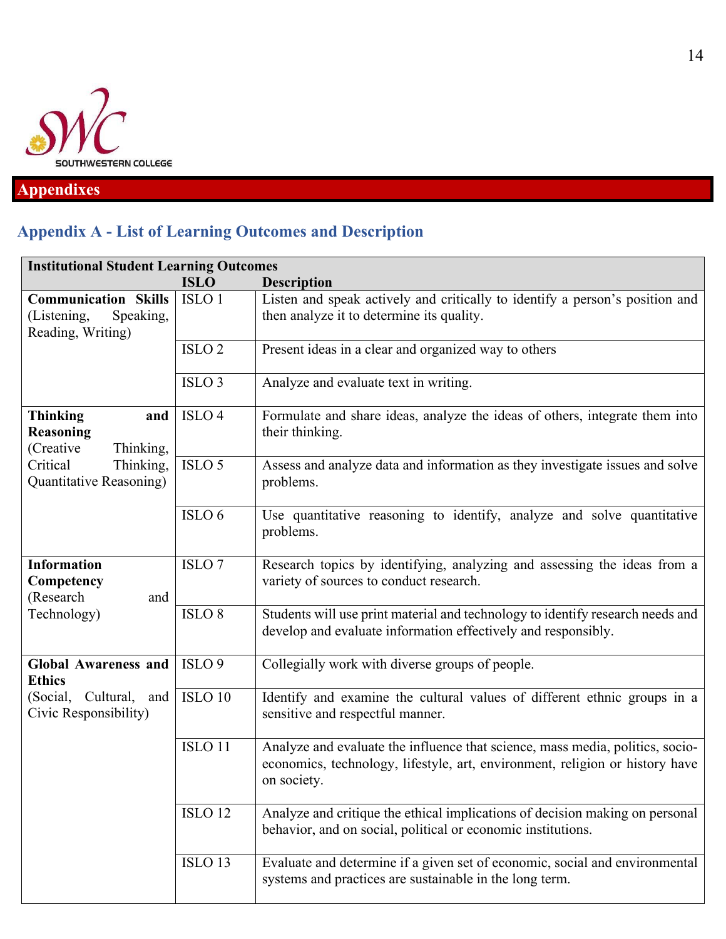

## **Appendixes**

## **Appendix A - List of Learning Outcomes and Description**

| <b>Institutional Student Learning Outcomes</b>                               |                    |                                                                                                                                                                              |  |  |  |  |  |  |
|------------------------------------------------------------------------------|--------------------|------------------------------------------------------------------------------------------------------------------------------------------------------------------------------|--|--|--|--|--|--|
|                                                                              | <b>ISLO</b>        | <b>Description</b>                                                                                                                                                           |  |  |  |  |  |  |
| <b>Communication Skills</b><br>(Listening,<br>Speaking,<br>Reading, Writing) | ISLO <sub>1</sub>  | Listen and speak actively and critically to identify a person's position and<br>then analyze it to determine its quality.                                                    |  |  |  |  |  |  |
|                                                                              | ISLO <sub>2</sub>  | Present ideas in a clear and organized way to others                                                                                                                         |  |  |  |  |  |  |
|                                                                              | ISLO <sub>3</sub>  | Analyze and evaluate text in writing.                                                                                                                                        |  |  |  |  |  |  |
| <b>Thinking</b><br>and<br>Reasoning<br>(Creative<br>Thinking,                | ISLO <sub>4</sub>  | Formulate and share ideas, analyze the ideas of others, integrate them into<br>their thinking.                                                                               |  |  |  |  |  |  |
| Critical<br>Thinking,<br>Quantitative Reasoning)                             | ISLO <sub>5</sub>  | Assess and analyze data and information as they investigate issues and solve<br>problems.                                                                                    |  |  |  |  |  |  |
|                                                                              | ISLO 6             | Use quantitative reasoning to identify, analyze and solve quantitative<br>problems.                                                                                          |  |  |  |  |  |  |
| <b>Information</b><br>Competency<br>(Research<br>and                         | ISLO <sub>7</sub>  | Research topics by identifying, analyzing and assessing the ideas from a<br>variety of sources to conduct research.                                                          |  |  |  |  |  |  |
| Technology)                                                                  | ISLO <sub>8</sub>  | Students will use print material and technology to identify research needs and<br>develop and evaluate information effectively and responsibly.                              |  |  |  |  |  |  |
| <b>Global Awareness and</b><br><b>Ethics</b>                                 | ISLO <sub>9</sub>  | Collegially work with diverse groups of people.                                                                                                                              |  |  |  |  |  |  |
| (Social, Cultural, and<br>Civic Responsibility)                              | ISLO <sub>10</sub> | Identify and examine the cultural values of different ethnic groups in a<br>sensitive and respectful manner.                                                                 |  |  |  |  |  |  |
|                                                                              | ISLO <sub>11</sub> | Analyze and evaluate the influence that science, mass media, politics, socio-<br>economics, technology, lifestyle, art, environment, religion or history have<br>on society. |  |  |  |  |  |  |
|                                                                              | ISLO <sub>12</sub> | Analyze and critique the ethical implications of decision making on personal<br>behavior, and on social, political or economic institutions.                                 |  |  |  |  |  |  |
|                                                                              | ISLO <sub>13</sub> | Evaluate and determine if a given set of economic, social and environmental<br>systems and practices are sustainable in the long term.                                       |  |  |  |  |  |  |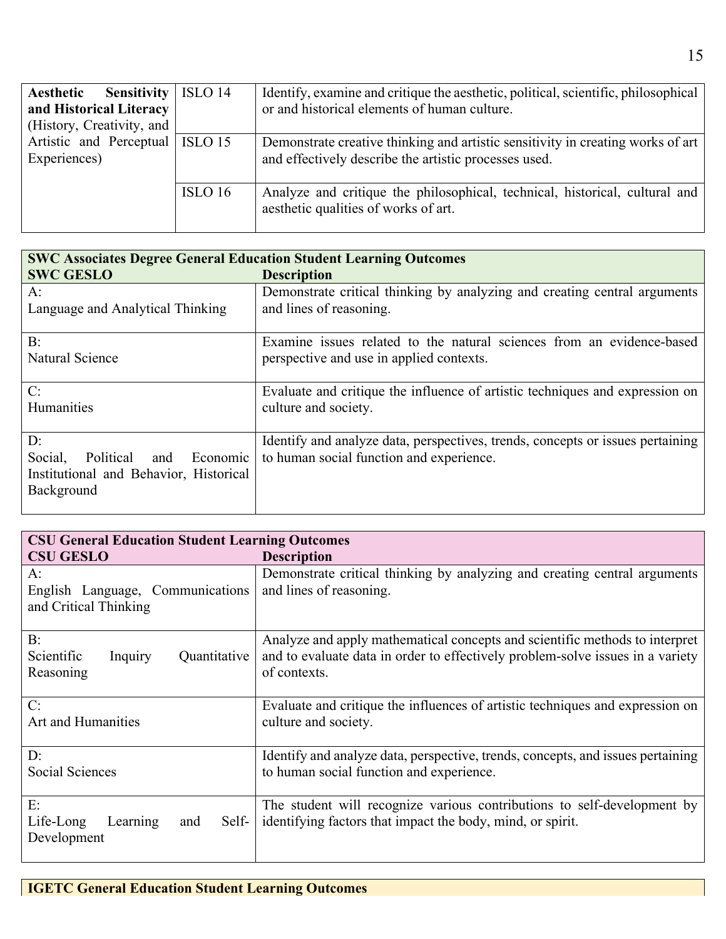| <b>Sensitivity</b><br>Aesthetic   | ISLO 14 | Identify, examine and critique the aesthetic, political, scientific, philosophical |
|-----------------------------------|---------|------------------------------------------------------------------------------------|
| and Historical Literacy           |         | or and historical elements of human culture.                                       |
| (History, Creativity, and         |         |                                                                                    |
| Artistic and Perceptual   ISLO 15 |         | Demonstrate creative thinking and artistic sensitivity in creating works of art    |
| Experiences)                      |         | and effectively describe the artistic processes used.                              |
|                                   |         |                                                                                    |
|                                   | ISLO 16 | Analyze and critique the philosophical, technical, historical, cultural and        |
|                                   |         | aesthetic qualities of works of art.                                               |
|                                   |         |                                                                                    |

| <b>SWC Associates Degree General Education Student Learning Outcomes</b> |                                                                                                      |
|--------------------------------------------------------------------------|------------------------------------------------------------------------------------------------------|
| <b>SWC GESLO</b>                                                         | <b>Description</b>                                                                                   |
| A:<br>Language and Analytical Thinking                                   | Demonstrate critical thinking by analyzing and creating central arguments<br>and lines of reasoning. |
| $B$ :                                                                    | Examine issues related to the natural sciences from an evidence-based                                |
| Natural Science                                                          | perspective and use in applied contexts.                                                             |
| C:                                                                       | Evaluate and critique the influence of artistic techniques and expression on                         |
| Humanities                                                               | culture and society.                                                                                 |
|                                                                          |                                                                                                      |
| D:                                                                       | Identify and analyze data, perspectives, trends, concepts or issues pertaining                       |
| Social,<br>Political<br>and<br>Economic                                  | to human social function and experience.                                                             |
| Institutional and Behavior, Historical                                   |                                                                                                      |
| Background                                                               |                                                                                                      |
|                                                                          |                                                                                                      |

| <b>CSU General Education Student Learning Outcomes</b>          |                                                                                                                                                                               |
|-----------------------------------------------------------------|-------------------------------------------------------------------------------------------------------------------------------------------------------------------------------|
| <b>CSU GESLO</b>                                                | <b>Description</b>                                                                                                                                                            |
| A:<br>English Language, Communications<br>and Critical Thinking | Demonstrate critical thinking by analyzing and creating central arguments<br>and lines of reasoning.                                                                          |
| $B$ :<br>Scientific<br>Inquiry<br>Quantitative<br>Reasoning     | Analyze and apply mathematical concepts and scientific methods to interpret<br>and to evaluate data in order to effectively problem-solve issues in a variety<br>of contexts. |
| C:<br>Art and Humanities                                        | Evaluate and critique the influences of artistic techniques and expression on<br>culture and society.                                                                         |
| D:<br>Social Sciences                                           | Identify and analyze data, perspective, trends, concepts, and issues pertaining<br>to human social function and experience.                                                   |
| E:<br>Life-Long<br>Learning<br>Self-<br>and<br>Development      | The student will recognize various contributions to self-development by<br>identifying factors that impact the body, mind, or spirit.                                         |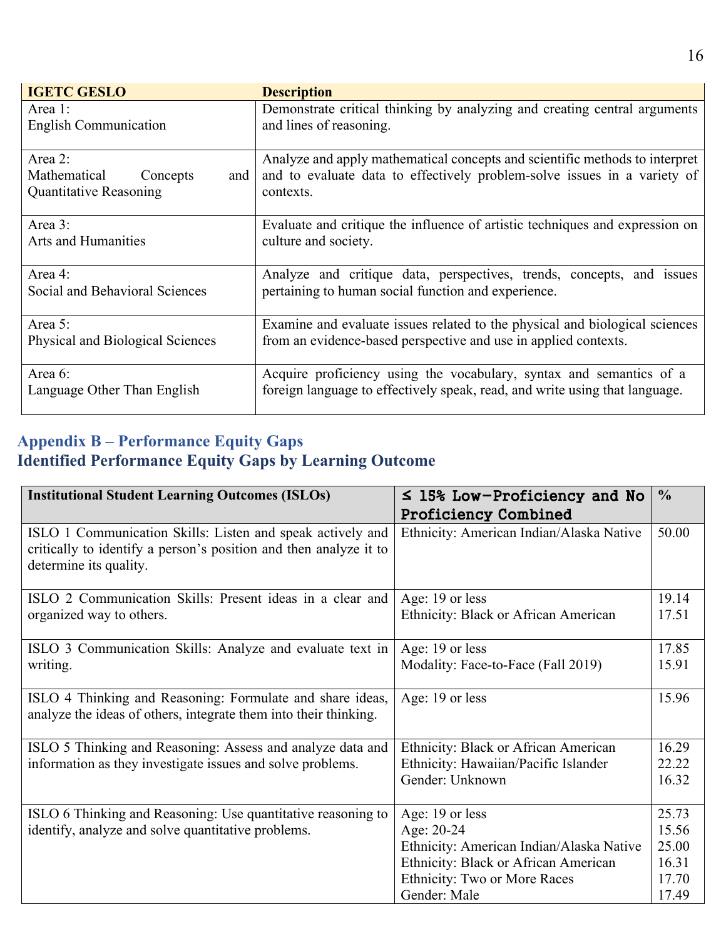| <b>IGETC GESLO</b>               | <b>Description</b>                                                           |
|----------------------------------|------------------------------------------------------------------------------|
| Area 1:                          | Demonstrate critical thinking by analyzing and creating central arguments    |
| <b>English Communication</b>     | and lines of reasoning.                                                      |
|                                  |                                                                              |
| Area 2:                          | Analyze and apply mathematical concepts and scientific methods to interpret  |
| Mathematical Concepts<br>and     | and to evaluate data to effectively problem-solve issues in a variety of     |
| <b>Quantitative Reasoning</b>    | contexts.                                                                    |
|                                  |                                                                              |
| Area 3:                          | Evaluate and critique the influence of artistic techniques and expression on |
| <b>Arts and Humanities</b>       | culture and society.                                                         |
|                                  |                                                                              |
| Area 4:                          | Analyze and critique data, perspectives, trends, concepts, and issues        |
| Social and Behavioral Sciences   | pertaining to human social function and experience.                          |
|                                  |                                                                              |
| Area 5:                          | Examine and evaluate issues related to the physical and biological sciences  |
| Physical and Biological Sciences | from an evidence-based perspective and use in applied contexts.              |
|                                  |                                                                              |
| Area 6:                          | Acquire proficiency using the vocabulary, syntax and semantics of a          |
| Language Other Than English      | foreign language to effectively speak, read, and write using that language.  |
|                                  |                                                                              |

### **Appendix B – Performance Equity Gaps Identified Performance Equity Gaps by Learning Outcome**

| <b>Institutional Student Learning Outcomes (ISLOs)</b>                                                                        | $\leq$ 15% Low-Proficiency and No        | $\frac{0}{0}$ |
|-------------------------------------------------------------------------------------------------------------------------------|------------------------------------------|---------------|
|                                                                                                                               | <b>Proficiency Combined</b>              |               |
| ISLO 1 Communication Skills: Listen and speak actively and                                                                    | Ethnicity: American Indian/Alaska Native | 50.00         |
| critically to identify a person's position and then analyze it to                                                             |                                          |               |
| determine its quality.                                                                                                        |                                          |               |
| ISLO 2 Communication Skills: Present ideas in a clear and                                                                     | Age: 19 or less                          | 19.14         |
| organized way to others.                                                                                                      | Ethnicity: Black or African American     | 17.51         |
|                                                                                                                               |                                          |               |
| ISLO 3 Communication Skills: Analyze and evaluate text in                                                                     | Age: 19 or less                          | 17.85         |
| writing.                                                                                                                      | Modality: Face-to-Face (Fall 2019)       | 15.91         |
|                                                                                                                               |                                          |               |
| ISLO 4 Thinking and Reasoning: Formulate and share ideas,<br>analyze the ideas of others, integrate them into their thinking. | Age: 19 or less                          | 15.96         |
|                                                                                                                               |                                          |               |
| ISLO 5 Thinking and Reasoning: Assess and analyze data and                                                                    | Ethnicity: Black or African American     | 16.29         |
| information as they investigate issues and solve problems.                                                                    | Ethnicity: Hawaiian/Pacific Islander     | 22.22         |
|                                                                                                                               | Gender: Unknown                          | 16.32         |
|                                                                                                                               |                                          |               |
| ISLO 6 Thinking and Reasoning: Use quantitative reasoning to                                                                  | Age: 19 or less                          | 25.73         |
| identify, analyze and solve quantitative problems.                                                                            | Age: 20-24                               | 15.56         |
|                                                                                                                               | Ethnicity: American Indian/Alaska Native | 25.00         |
|                                                                                                                               | Ethnicity: Black or African American     | 16.31         |
|                                                                                                                               | Ethnicity: Two or More Races             | 17.70         |
|                                                                                                                               | Gender: Male                             | 17.49         |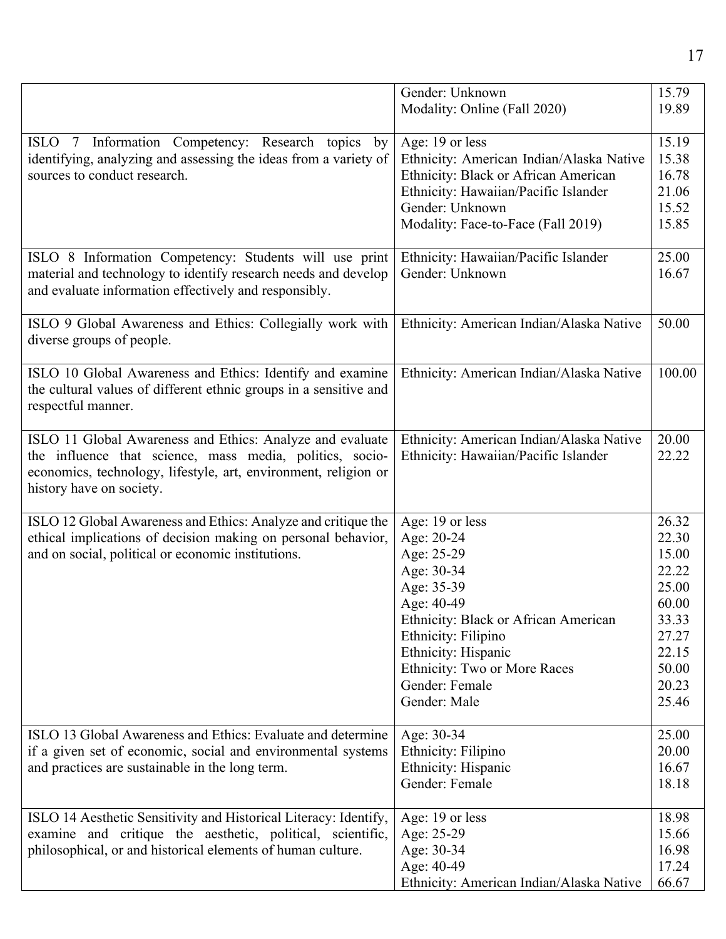|                                                                   | Gender: Unknown                          | 15.79  |
|-------------------------------------------------------------------|------------------------------------------|--------|
|                                                                   | Modality: Online (Fall 2020)             | 19.89  |
|                                                                   |                                          |        |
| ISLO 7 Information Competency: Research topics<br>by              | Age: 19 or less                          | 15.19  |
| identifying, analyzing and assessing the ideas from a variety of  | Ethnicity: American Indian/Alaska Native | 15.38  |
| sources to conduct research.                                      | Ethnicity: Black or African American     | 16.78  |
|                                                                   | Ethnicity: Hawaiian/Pacific Islander     | 21.06  |
|                                                                   | Gender: Unknown                          | 15.52  |
|                                                                   | Modality: Face-to-Face (Fall 2019)       | 15.85  |
|                                                                   |                                          |        |
| ISLO 8 Information Competency: Students will use print            | Ethnicity: Hawaiian/Pacific Islander     | 25.00  |
| material and technology to identify research needs and develop    | Gender: Unknown                          | 16.67  |
| and evaluate information effectively and responsibly.             |                                          |        |
|                                                                   |                                          |        |
| ISLO 9 Global Awareness and Ethics: Collegially work with         | Ethnicity: American Indian/Alaska Native | 50.00  |
| diverse groups of people.                                         |                                          |        |
|                                                                   |                                          |        |
| ISLO 10 Global Awareness and Ethics: Identify and examine         | Ethnicity: American Indian/Alaska Native | 100.00 |
| the cultural values of different ethnic groups in a sensitive and |                                          |        |
| respectful manner.                                                |                                          |        |
|                                                                   |                                          |        |
| ISLO 11 Global Awareness and Ethics: Analyze and evaluate         | Ethnicity: American Indian/Alaska Native | 20.00  |
| the influence that science, mass media, politics, socio-          | Ethnicity: Hawaiian/Pacific Islander     | 22.22  |
| economics, technology, lifestyle, art, environment, religion or   |                                          |        |
| history have on society.                                          |                                          |        |
|                                                                   |                                          |        |
| ISLO 12 Global Awareness and Ethics: Analyze and critique the     | Age: 19 or less                          | 26.32  |
| ethical implications of decision making on personal behavior,     | Age: 20-24                               | 22.30  |
| and on social, political or economic institutions.                | Age: 25-29                               | 15.00  |
|                                                                   | Age: 30-34                               | 22.22  |
|                                                                   | Age: 35-39                               | 25.00  |
|                                                                   | Age: 40-49                               | 60.00  |
|                                                                   | Ethnicity: Black or African American     | 33.33  |
|                                                                   | Ethnicity: Filipino                      | 27.27  |
|                                                                   | Ethnicity: Hispanic                      | 22.15  |
|                                                                   | Ethnicity: Two or More Races             | 50.00  |
|                                                                   | Gender: Female                           | 20.23  |
|                                                                   | Gender: Male                             | 25.46  |
|                                                                   |                                          |        |
| ISLO 13 Global Awareness and Ethics: Evaluate and determine       | Age: 30-34                               | 25.00  |
| if a given set of economic, social and environmental systems      | Ethnicity: Filipino                      | 20.00  |
| and practices are sustainable in the long term.                   | Ethnicity: Hispanic                      | 16.67  |
|                                                                   | Gender: Female                           | 18.18  |
|                                                                   |                                          |        |
| ISLO 14 Aesthetic Sensitivity and Historical Literacy: Identify,  | Age: 19 or less                          | 18.98  |
| examine and critique the aesthetic, political, scientific,        | Age: 25-29                               | 15.66  |
| philosophical, or and historical elements of human culture.       | Age: 30-34                               | 16.98  |
|                                                                   | Age: 40-49                               | 17.24  |
|                                                                   | Ethnicity: American Indian/Alaska Native | 66.67  |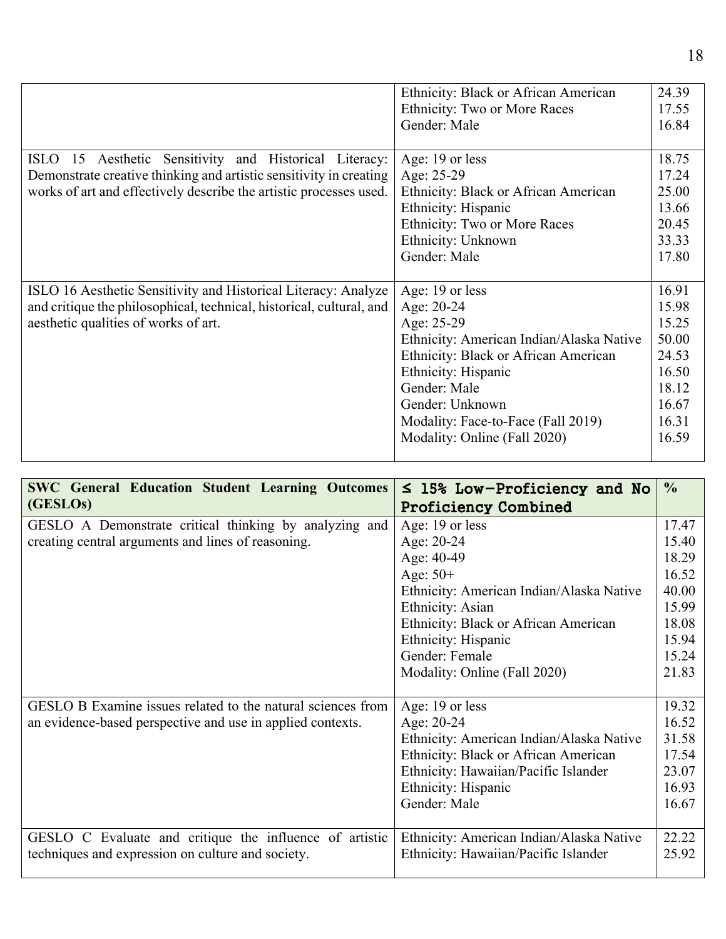|                                                                                                                                                                                                    | Ethnicity: Black or African American                                                                                                                                                                                                                            | 24.39                                                                                  |
|----------------------------------------------------------------------------------------------------------------------------------------------------------------------------------------------------|-----------------------------------------------------------------------------------------------------------------------------------------------------------------------------------------------------------------------------------------------------------------|----------------------------------------------------------------------------------------|
|                                                                                                                                                                                                    | Ethnicity: Two or More Races                                                                                                                                                                                                                                    | 17.55                                                                                  |
|                                                                                                                                                                                                    | Gender: Male                                                                                                                                                                                                                                                    | 16.84                                                                                  |
|                                                                                                                                                                                                    |                                                                                                                                                                                                                                                                 |                                                                                        |
| ISLO 15 Aesthetic Sensitivity and Historical Literacy:<br>Demonstrate creative thinking and artistic sensitivity in creating<br>works of art and effectively describe the artistic processes used. | Age: 19 or less<br>Age: 25-29<br>Ethnicity: Black or African American<br>Ethnicity: Hispanic<br>Ethnicity: Two or More Races                                                                                                                                    | 18.75<br>17.24<br>25.00<br>13.66<br>20.45                                              |
|                                                                                                                                                                                                    | Ethnicity: Unknown                                                                                                                                                                                                                                              | 33.33                                                                                  |
|                                                                                                                                                                                                    | Gender: Male                                                                                                                                                                                                                                                    | 17.80                                                                                  |
|                                                                                                                                                                                                    |                                                                                                                                                                                                                                                                 |                                                                                        |
| ISLO 16 Aesthetic Sensitivity and Historical Literacy: Analyze<br>and critique the philosophical, technical, historical, cultural, and<br>aesthetic qualities of works of art.                     | Age: 19 or less<br>Age: 20-24<br>Age: 25-29<br>Ethnicity: American Indian/Alaska Native<br>Ethnicity: Black or African American<br>Ethnicity: Hispanic<br>Gender: Male<br>Gender: Unknown<br>Modality: Face-to-Face (Fall 2019)<br>Modality: Online (Fall 2020) | 16.91<br>15.98<br>15.25<br>50.00<br>24.53<br>16.50<br>18.12<br>16.67<br>16.31<br>16.59 |
|                                                                                                                                                                                                    |                                                                                                                                                                                                                                                                 |                                                                                        |

| <b>SWC General Education Student Learning Outcomes</b>      | $\leq$ 15% Low-Proficiency and No        | $\frac{0}{0}$ |
|-------------------------------------------------------------|------------------------------------------|---------------|
| (GESLOs)                                                    | <b>Proficiency Combined</b>              |               |
| GESLO A Demonstrate critical thinking by analyzing and      | Age: 19 or less                          | 17.47         |
| creating central arguments and lines of reasoning.          | Age: $20-24$                             | 15.40         |
|                                                             | Age: 40-49                               | 18.29         |
|                                                             | Age: $50+$                               | 16.52         |
|                                                             | Ethnicity: American Indian/Alaska Native | 40.00         |
|                                                             | Ethnicity: Asian                         | 15.99         |
|                                                             | Ethnicity: Black or African American     | 18.08         |
|                                                             | Ethnicity: Hispanic                      | 15.94         |
|                                                             | Gender: Female                           | 15.24         |
|                                                             | Modality: Online (Fall 2020)             | 21.83         |
|                                                             |                                          |               |
| GESLO B Examine issues related to the natural sciences from | Age: 19 or less                          | 19.32         |
| an evidence-based perspective and use in applied contexts.  | Age: 20-24                               | 16.52         |
|                                                             | Ethnicity: American Indian/Alaska Native | 31.58         |
|                                                             | Ethnicity: Black or African American     | 17.54         |
|                                                             | Ethnicity: Hawaiian/Pacific Islander     | 23.07         |
|                                                             | Ethnicity: Hispanic                      | 16.93         |
|                                                             | Gender: Male                             | 16.67         |
|                                                             |                                          |               |
| GESLO C Evaluate and critique the influence of artistic     | Ethnicity: American Indian/Alaska Native | 22.22         |
| techniques and expression on culture and society.           | Ethnicity: Hawaiian/Pacific Islander     | 25.92         |
|                                                             |                                          |               |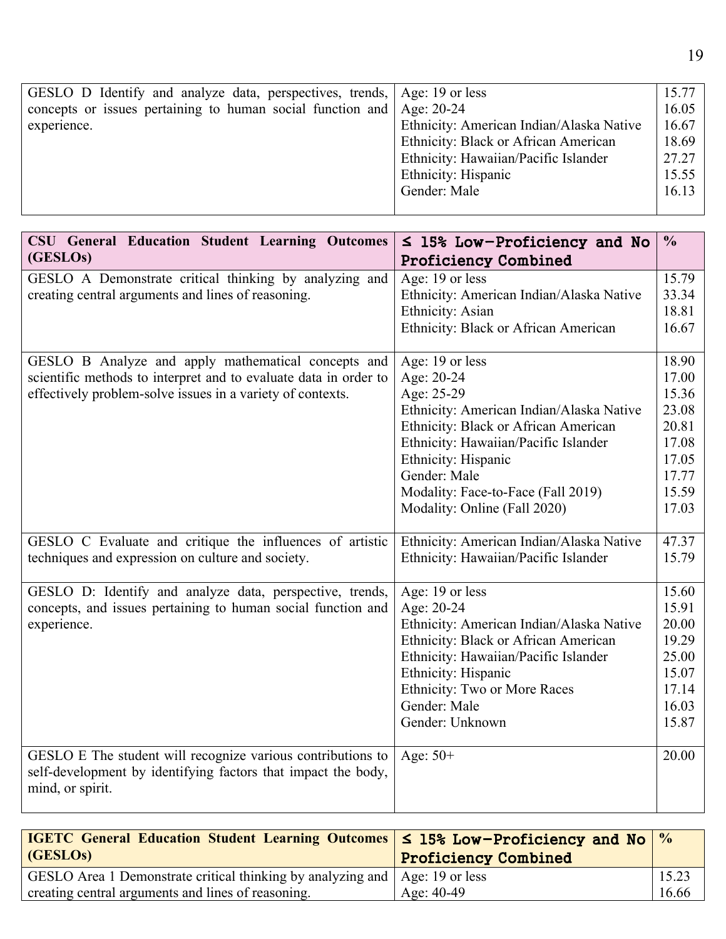| GESLO D Identify and analyze data, perspectives, trends, Age: 19 or less |                                          | 15.77 |
|--------------------------------------------------------------------------|------------------------------------------|-------|
| concepts or issues pertaining to human social function and Age: 20-24    |                                          | 16.05 |
| experience.                                                              | Ethnicity: American Indian/Alaska Native | 16.67 |
|                                                                          | Ethnicity: Black or African American     | 18.69 |
|                                                                          | Ethnicity: Hawaiian/Pacific Islander     | 27.27 |
|                                                                          | Ethnicity: Hispanic                      | 15.55 |
|                                                                          | Gender: Male                             | 16.13 |
|                                                                          |                                          |       |

| <b>CSU General Education Student Learning Outcomes</b>                            | $\leq$ 15% Low-Proficiency and No        | $\frac{0}{0}$  |
|-----------------------------------------------------------------------------------|------------------------------------------|----------------|
| (GESLO <sub>s</sub> )                                                             | <b>Proficiency Combined</b>              |                |
| GESLO A Demonstrate critical thinking by analyzing and                            | Age: 19 or less                          | 15.79          |
| creating central arguments and lines of reasoning.                                | Ethnicity: American Indian/Alaska Native | 33.34          |
|                                                                                   | Ethnicity: Asian                         | 18.81          |
|                                                                                   | Ethnicity: Black or African American     | 16.67          |
| GESLO B Analyze and apply mathematical concepts and                               | Age: 19 or less                          | 18.90          |
| scientific methods to interpret and to evaluate data in order to                  | Age: 20-24                               | 17.00          |
| effectively problem-solve issues in a variety of contexts.                        | Age: 25-29                               | 15.36          |
|                                                                                   | Ethnicity: American Indian/Alaska Native | 23.08          |
|                                                                                   | Ethnicity: Black or African American     | 20.81          |
|                                                                                   | Ethnicity: Hawaiian/Pacific Islander     | 17.08          |
|                                                                                   | Ethnicity: Hispanic                      | 17.05          |
|                                                                                   | Gender: Male                             | 17.77          |
|                                                                                   | Modality: Face-to-Face (Fall 2019)       | 15.59          |
|                                                                                   | Modality: Online (Fall 2020)             | 17.03          |
| GESLO C Evaluate and critique the influences of artistic                          | Ethnicity: American Indian/Alaska Native | 47.37          |
| techniques and expression on culture and society.                                 | Ethnicity: Hawaiian/Pacific Islander     | 15.79          |
| GESLO D: Identify and analyze data, perspective, trends,                          | Age: 19 or less                          | 15.60          |
| concepts, and issues pertaining to human social function and                      | Age: 20-24                               | 15.91          |
| experience.                                                                       | Ethnicity: American Indian/Alaska Native | 20.00          |
|                                                                                   | Ethnicity: Black or African American     | 19.29          |
|                                                                                   | Ethnicity: Hawaiian/Pacific Islander     | 25.00          |
|                                                                                   | Ethnicity: Hispanic                      | 15.07          |
|                                                                                   | Ethnicity: Two or More Races             | 17.14          |
|                                                                                   | Gender: Male<br>Gender: Unknown          | 16.03<br>15.87 |
|                                                                                   |                                          |                |
| GESLO E The student will recognize various contributions to                       | Age: $50+$                               | 20.00          |
| self-development by identifying factors that impact the body,<br>mind, or spirit. |                                          |                |
|                                                                                   |                                          |                |

| <b>IGETC</b> General Education Student Learning Outcomes $\leq$ 15% Low-Proficiency and No $\%$ |                             |       |
|-------------------------------------------------------------------------------------------------|-----------------------------|-------|
| (GESLO <sub>s</sub> )                                                                           | <b>Proficiency Combined</b> |       |
| GESLO Area 1 Demonstrate critical thinking by analyzing and   Age: 19 or less                   |                             | 15.23 |
| creating central arguments and lines of reasoning.                                              | Age: $40-49$                | 16.66 |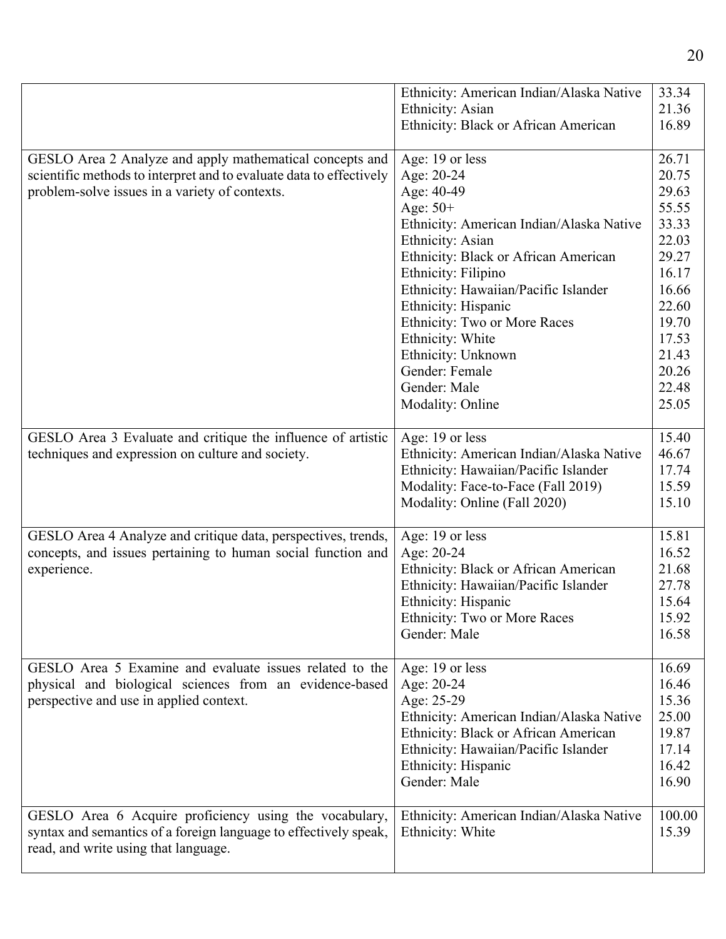|                                                                                                                                                                                   | Ethnicity: American Indian/Alaska Native<br>Ethnicity: Asian<br>Ethnicity: Black or African American                                                                                                                                                                                                                                                                                    | 33.34<br>21.36<br>16.89                                                                                                                      |
|-----------------------------------------------------------------------------------------------------------------------------------------------------------------------------------|-----------------------------------------------------------------------------------------------------------------------------------------------------------------------------------------------------------------------------------------------------------------------------------------------------------------------------------------------------------------------------------------|----------------------------------------------------------------------------------------------------------------------------------------------|
| GESLO Area 2 Analyze and apply mathematical concepts and<br>scientific methods to interpret and to evaluate data to effectively<br>problem-solve issues in a variety of contexts. | Age: 19 or less<br>Age: 20-24<br>Age: 40-49<br>Age: $50+$<br>Ethnicity: American Indian/Alaska Native<br>Ethnicity: Asian<br>Ethnicity: Black or African American<br>Ethnicity: Filipino<br>Ethnicity: Hawaiian/Pacific Islander<br>Ethnicity: Hispanic<br>Ethnicity: Two or More Races<br>Ethnicity: White<br>Ethnicity: Unknown<br>Gender: Female<br>Gender: Male<br>Modality: Online | 26.71<br>20.75<br>29.63<br>55.55<br>33.33<br>22.03<br>29.27<br>16.17<br>16.66<br>22.60<br>19.70<br>17.53<br>21.43<br>20.26<br>22.48<br>25.05 |
| GESLO Area 3 Evaluate and critique the influence of artistic<br>techniques and expression on culture and society.                                                                 | Age: 19 or less<br>Ethnicity: American Indian/Alaska Native<br>Ethnicity: Hawaiian/Pacific Islander<br>Modality: Face-to-Face (Fall 2019)<br>Modality: Online (Fall 2020)                                                                                                                                                                                                               | 15.40<br>46.67<br>17.74<br>15.59<br>15.10                                                                                                    |
| GESLO Area 4 Analyze and critique data, perspectives, trends,<br>concepts, and issues pertaining to human social function and<br>experience.                                      | Age: 19 or less<br>Age: 20-24<br>Ethnicity: Black or African American<br>Ethnicity: Hawaiian/Pacific Islander<br>Ethnicity: Hispanic<br>Ethnicity: Two or More Races<br>Gender: Male                                                                                                                                                                                                    | 15.81<br>16.52<br>21.68<br>27.78<br>15.64<br>15.92<br>16.58                                                                                  |
| GESLO Area 5 Examine and evaluate issues related to the<br>physical and biological sciences from an evidence-based<br>perspective and use in applied context.                     | Age: 19 or less<br>Age: 20-24<br>Age: 25-29<br>Ethnicity: American Indian/Alaska Native<br>Ethnicity: Black or African American<br>Ethnicity: Hawaiian/Pacific Islander<br>Ethnicity: Hispanic<br>Gender: Male                                                                                                                                                                          | 16.69<br>16.46<br>15.36<br>25.00<br>19.87<br>17.14<br>16.42<br>16.90                                                                         |
| GESLO Area 6 Acquire proficiency using the vocabulary,<br>syntax and semantics of a foreign language to effectively speak,<br>read, and write using that language.                | Ethnicity: American Indian/Alaska Native<br>Ethnicity: White                                                                                                                                                                                                                                                                                                                            | 100.00<br>15.39                                                                                                                              |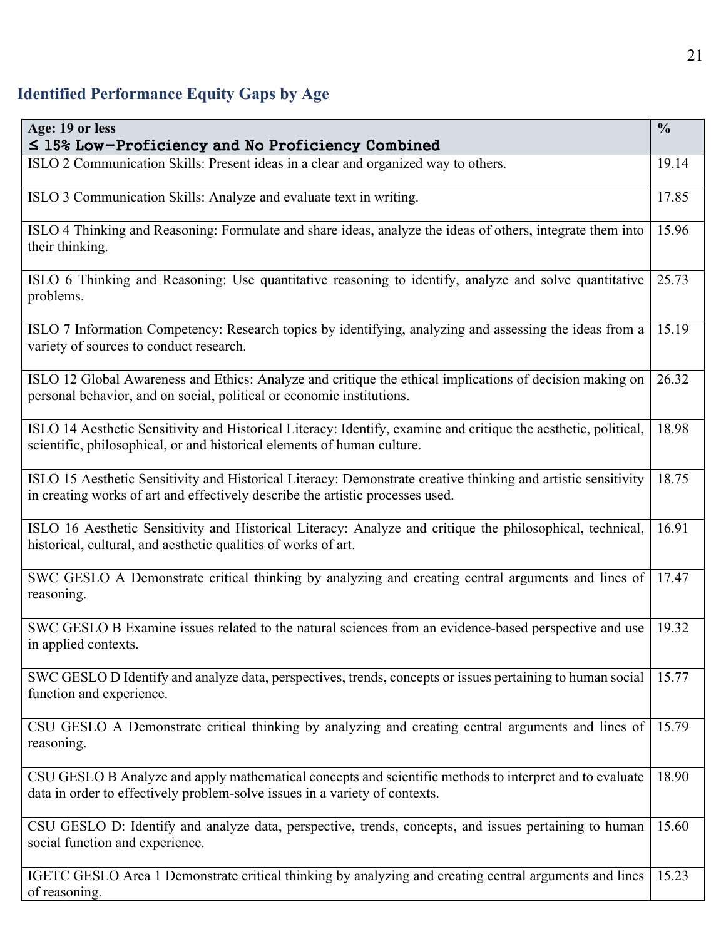# **Identified Performance Equity Gaps by Age**

| Age: 19 or less<br>$\leq$ 15% Low-Proficiency and No Proficiency Combined                                                                                                                       | $\frac{0}{0}$ |
|-------------------------------------------------------------------------------------------------------------------------------------------------------------------------------------------------|---------------|
| ISLO 2 Communication Skills: Present ideas in a clear and organized way to others.                                                                                                              | 19.14         |
| ISLO 3 Communication Skills: Analyze and evaluate text in writing.                                                                                                                              | 17.85         |
| ISLO 4 Thinking and Reasoning: Formulate and share ideas, analyze the ideas of others, integrate them into<br>their thinking.                                                                   | 15.96         |
| ISLO 6 Thinking and Reasoning: Use quantitative reasoning to identify, analyze and solve quantitative<br>problems.                                                                              | 25.73         |
| ISLO 7 Information Competency: Research topics by identifying, analyzing and assessing the ideas from a<br>variety of sources to conduct research.                                              | 15.19         |
| ISLO 12 Global Awareness and Ethics: Analyze and critique the ethical implications of decision making on<br>personal behavior, and on social, political or economic institutions.               | 26.32         |
| ISLO 14 Aesthetic Sensitivity and Historical Literacy: Identify, examine and critique the aesthetic, political,<br>scientific, philosophical, or and historical elements of human culture.      | 18.98         |
| ISLO 15 Aesthetic Sensitivity and Historical Literacy: Demonstrate creative thinking and artistic sensitivity<br>in creating works of art and effectively describe the artistic processes used. | 18.75         |
| ISLO 16 Aesthetic Sensitivity and Historical Literacy: Analyze and critique the philosophical, technical,<br>historical, cultural, and aesthetic qualities of works of art.                     | 16.91         |
| SWC GESLO A Demonstrate critical thinking by analyzing and creating central arguments and lines of<br>reasoning.                                                                                | 17.47         |
| SWC GESLO B Examine issues related to the natural sciences from an evidence-based perspective and use<br>in applied contexts.                                                                   | 19.32         |
| SWC GESLO D Identify and analyze data, perspectives, trends, concepts or issues pertaining to human social<br>function and experience.                                                          | 15.77         |
| CSU GESLO A Demonstrate critical thinking by analyzing and creating central arguments and lines of<br>reasoning.                                                                                | 15.79         |
| CSU GESLO B Analyze and apply mathematical concepts and scientific methods to interpret and to evaluate<br>data in order to effectively problem-solve issues in a variety of contexts.          | 18.90         |
| CSU GESLO D: Identify and analyze data, perspective, trends, concepts, and issues pertaining to human<br>social function and experience.                                                        | 15.60         |
| IGETC GESLO Area 1 Demonstrate critical thinking by analyzing and creating central arguments and lines<br>of reasoning.                                                                         | 15.23         |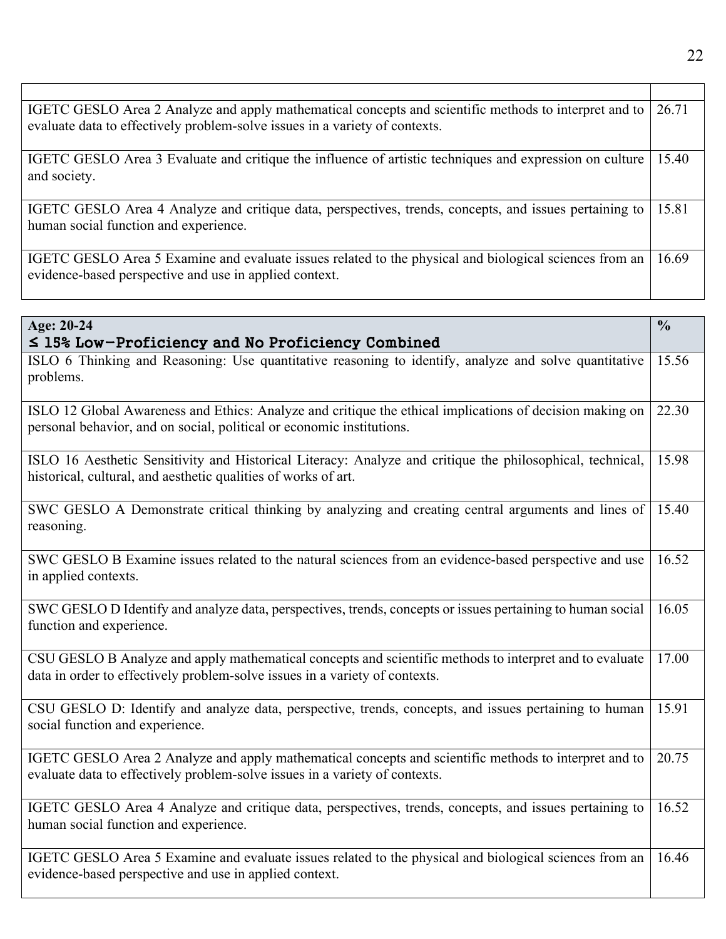| IGETC GESLO Area 2 Analyze and apply mathematical concepts and scientific methods to interpret and to<br>evaluate data to effectively problem-solve issues in a variety of contexts. | 26.71 |
|--------------------------------------------------------------------------------------------------------------------------------------------------------------------------------------|-------|
| IGETC GESLO Area 3 Evaluate and critique the influence of artistic techniques and expression on culture<br>and society.                                                              | 15.40 |
| IGETC GESLO Area 4 Analyze and critique data, perspectives, trends, concepts, and issues pertaining to<br>human social function and experience.                                      | 15.81 |
| IGETC GESLO Area 5 Examine and evaluate issues related to the physical and biological sciences from an<br>evidence-based perspective and use in applied context.                     | 16.69 |

| Age: 20-24                                                                                                                                                                             | $\frac{0}{0}$ |
|----------------------------------------------------------------------------------------------------------------------------------------------------------------------------------------|---------------|
| $\leq$ 15% Low-Proficiency and No Proficiency Combined                                                                                                                                 |               |
| ISLO 6 Thinking and Reasoning: Use quantitative reasoning to identify, analyze and solve quantitative<br>problems.                                                                     | 15.56         |
| ISLO 12 Global Awareness and Ethics: Analyze and critique the ethical implications of decision making on<br>personal behavior, and on social, political or economic institutions.      | 22.30         |
| ISLO 16 Aesthetic Sensitivity and Historical Literacy: Analyze and critique the philosophical, technical,<br>historical, cultural, and aesthetic qualities of works of art.            | 15.98         |
| SWC GESLO A Demonstrate critical thinking by analyzing and creating central arguments and lines of<br>reasoning.                                                                       | 15.40         |
| SWC GESLO B Examine issues related to the natural sciences from an evidence-based perspective and use<br>in applied contexts.                                                          | 16.52         |
| SWC GESLO D Identify and analyze data, perspectives, trends, concepts or issues pertaining to human social<br>function and experience.                                                 | 16.05         |
| CSU GESLO B Analyze and apply mathematical concepts and scientific methods to interpret and to evaluate<br>data in order to effectively problem-solve issues in a variety of contexts. | 17.00         |
| CSU GESLO D: Identify and analyze data, perspective, trends, concepts, and issues pertaining to human<br>social function and experience.                                               | 15.91         |
| IGETC GESLO Area 2 Analyze and apply mathematical concepts and scientific methods to interpret and to<br>evaluate data to effectively problem-solve issues in a variety of contexts.   | 20.75         |
| IGETC GESLO Area 4 Analyze and critique data, perspectives, trends, concepts, and issues pertaining to<br>human social function and experience.                                        | 16.52         |
| IGETC GESLO Area 5 Examine and evaluate issues related to the physical and biological sciences from an<br>evidence-based perspective and use in applied context.                       | 16.46         |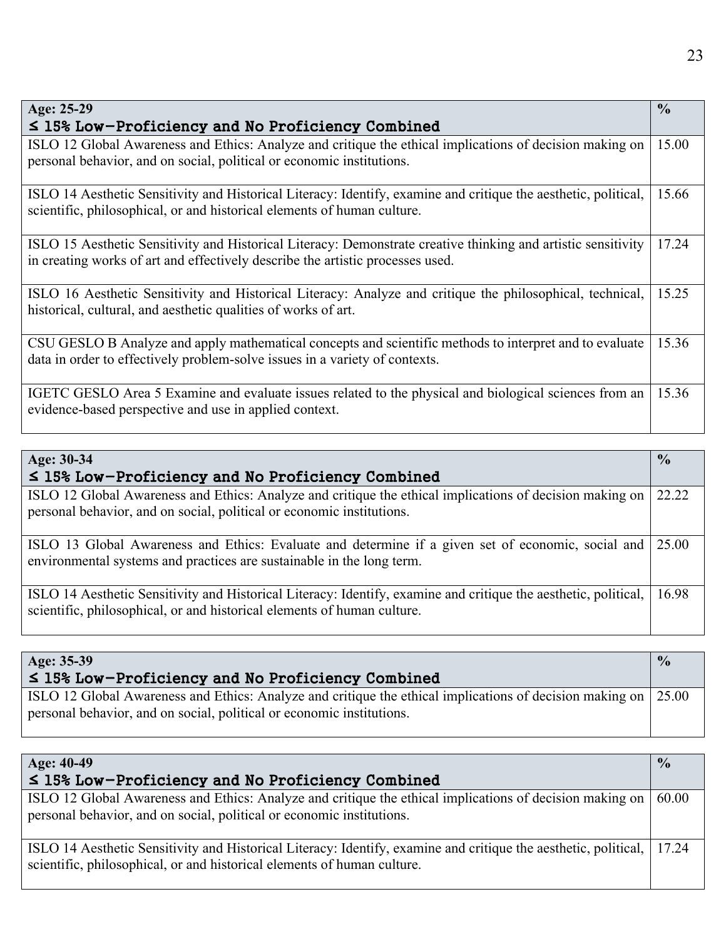| Age: 25-29                                                                                                                                                                                      | $\frac{0}{0}$ |
|-------------------------------------------------------------------------------------------------------------------------------------------------------------------------------------------------|---------------|
| $\leq$ 15% Low-Proficiency and No Proficiency Combined                                                                                                                                          |               |
| ISLO 12 Global Awareness and Ethics: Analyze and critique the ethical implications of decision making on<br>personal behavior, and on social, political or economic institutions.               | 15.00         |
| ISLO 14 Aesthetic Sensitivity and Historical Literacy: Identify, examine and critique the aesthetic, political,<br>scientific, philosophical, or and historical elements of human culture.      | 15.66         |
| ISLO 15 Aesthetic Sensitivity and Historical Literacy: Demonstrate creative thinking and artistic sensitivity<br>in creating works of art and effectively describe the artistic processes used. | 17.24         |
| ISLO 16 Aesthetic Sensitivity and Historical Literacy: Analyze and critique the philosophical, technical,<br>historical, cultural, and aesthetic qualities of works of art.                     | 15.25         |
| CSU GESLO B Analyze and apply mathematical concepts and scientific methods to interpret and to evaluate<br>data in order to effectively problem-solve issues in a variety of contexts.          | 15.36         |
| IGETC GESLO Area 5 Examine and evaluate issues related to the physical and biological sciences from an<br>evidence-based perspective and use in applied context.                                | 15.36         |

| Age: 30-34                                                                                                                                                                                 | $\frac{0}{0}$ |
|--------------------------------------------------------------------------------------------------------------------------------------------------------------------------------------------|---------------|
| $\leq$ 15% Low-Proficiency and No Proficiency Combined                                                                                                                                     |               |
| ISLO 12 Global Awareness and Ethics: Analyze and critique the ethical implications of decision making on                                                                                   | 22.22         |
| personal behavior, and on social, political or economic institutions.                                                                                                                      |               |
| ISLO 13 Global Awareness and Ethics: Evaluate and determine if a given set of economic, social and<br>environmental systems and practices are sustainable in the long term.                | 25.00         |
| ISLO 14 Aesthetic Sensitivity and Historical Literacy: Identify, examine and critique the aesthetic, political,<br>scientific, philosophical, or and historical elements of human culture. | 16.98         |

| Age: 35-39                                                                                                                                                                              | $\frac{0}{0}$ |
|-----------------------------------------------------------------------------------------------------------------------------------------------------------------------------------------|---------------|
| $\leq$ 15% Low-Proficiency and No Proficiency Combined                                                                                                                                  |               |
| ISLO 12 Global Awareness and Ethics: Analyze and critique the ethical implications of decision making on 25.00<br>personal behavior, and on social, political or economic institutions. |               |

| Age: 40-49                                                                                                                                                                                       | $\frac{0}{0}$ |
|--------------------------------------------------------------------------------------------------------------------------------------------------------------------------------------------------|---------------|
| $\leq$ 15% Low-Proficiency and No Proficiency Combined                                                                                                                                           |               |
| ISLO 12 Global Awareness and Ethics: Analyze and critique the ethical implications of decision making on   60.00<br>personal behavior, and on social, political or economic institutions.        |               |
| ISLO 14 Aesthetic Sensitivity and Historical Literacy: Identify, examine and critique the aesthetic, political, 17.24<br>scientific, philosophical, or and historical elements of human culture. |               |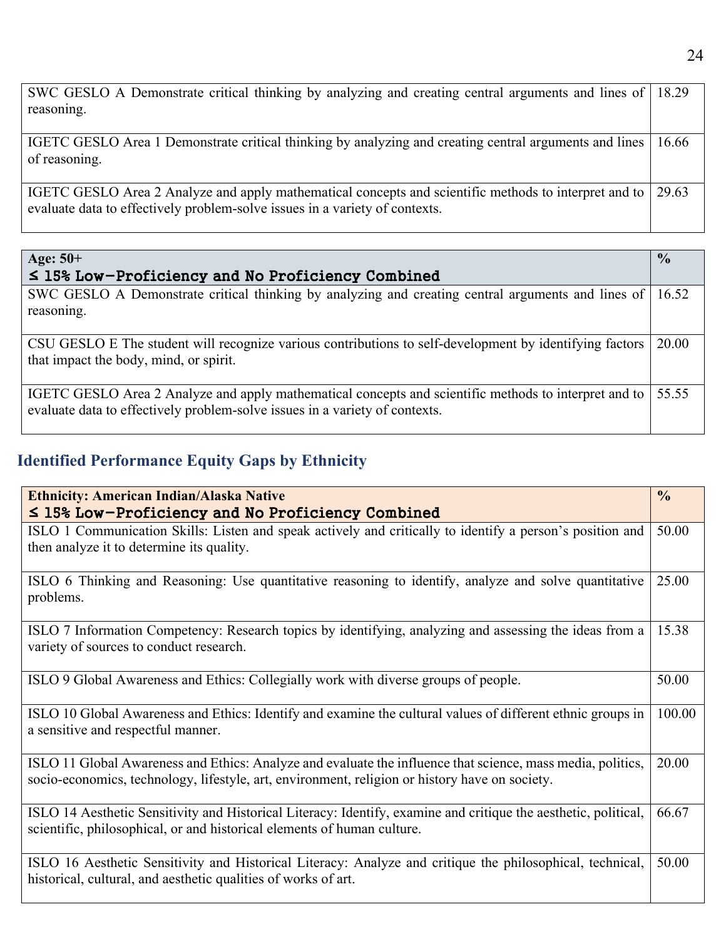| SWC GESLO A Demonstrate critical thinking by analyzing and creating central arguments and lines of 18.29<br>reasoning.                                                               |       |
|--------------------------------------------------------------------------------------------------------------------------------------------------------------------------------------|-------|
|                                                                                                                                                                                      |       |
| IGETC GESLO Area 1 Demonstrate critical thinking by analyzing and creating central arguments and lines<br>of reasoning.                                                              | 16.66 |
| IGETC GESLO Area 2 Analyze and apply mathematical concepts and scientific methods to interpret and to<br>evaluate data to effectively problem-solve issues in a variety of contexts. | 29.63 |

| Age: $50+$                                                                                                                                                                           | $\frac{0}{0}$ |
|--------------------------------------------------------------------------------------------------------------------------------------------------------------------------------------|---------------|
| $\leq$ 15% Low-Proficiency and No Proficiency Combined                                                                                                                               |               |
| SWC GESLO A Demonstrate critical thinking by analyzing and creating central arguments and lines of 16.52<br>reasoning.                                                               |               |
| CSU GESLO E The student will recognize various contributions to self-development by identifying factors<br>that impact the body, mind, or spirit.                                    | 20.00         |
| IGETC GESLO Area 2 Analyze and apply mathematical concepts and scientific methods to interpret and to<br>evaluate data to effectively problem-solve issues in a variety of contexts. | 55.55         |

# **Identified Performance Equity Gaps by Ethnicity**

| <b>Ethnicity: American Indian/Alaska Native</b><br>$\leq$ 15% Low-Proficiency and No Proficiency Combined                                                                                                     | $\frac{0}{0}$ |
|---------------------------------------------------------------------------------------------------------------------------------------------------------------------------------------------------------------|---------------|
| ISLO 1 Communication Skills: Listen and speak actively and critically to identify a person's position and<br>then analyze it to determine its quality.                                                        | 50.00         |
| ISLO 6 Thinking and Reasoning: Use quantitative reasoning to identify, analyze and solve quantitative<br>problems.                                                                                            | 25.00         |
| ISLO 7 Information Competency: Research topics by identifying, analyzing and assessing the ideas from a<br>variety of sources to conduct research.                                                            | 15.38         |
| ISLO 9 Global Awareness and Ethics: Collegially work with diverse groups of people.                                                                                                                           | 50.00         |
| ISLO 10 Global Awareness and Ethics: Identify and examine the cultural values of different ethnic groups in<br>a sensitive and respectful manner.                                                             | 100.00        |
| ISLO 11 Global Awareness and Ethics: Analyze and evaluate the influence that science, mass media, politics,<br>socio-economics, technology, lifestyle, art, environment, religion or history have on society. | 20.00         |
| ISLO 14 Aesthetic Sensitivity and Historical Literacy: Identify, examine and critique the aesthetic, political,<br>scientific, philosophical, or and historical elements of human culture.                    | 66.67         |
| ISLO 16 Aesthetic Sensitivity and Historical Literacy: Analyze and critique the philosophical, technical,<br>historical, cultural, and aesthetic qualities of works of art.                                   | 50.00         |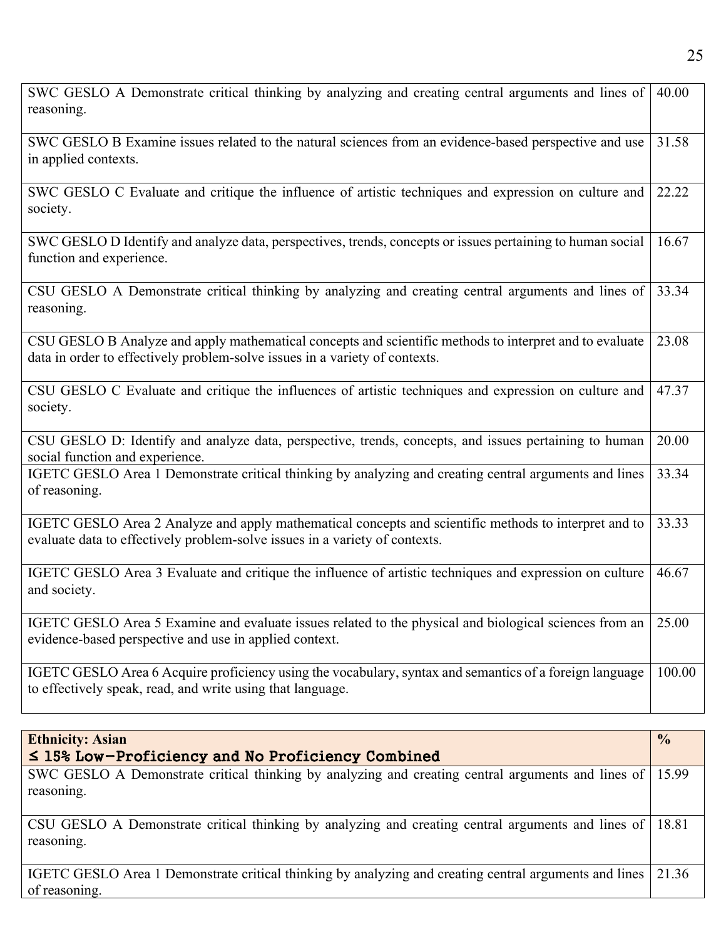| SWC GESLO A Demonstrate critical thinking by analyzing and creating central arguments and lines of<br>reasoning.                                                                       | 40.00         |
|----------------------------------------------------------------------------------------------------------------------------------------------------------------------------------------|---------------|
| SWC GESLO B Examine issues related to the natural sciences from an evidence-based perspective and use<br>in applied contexts.                                                          | 31.58         |
| SWC GESLO C Evaluate and critique the influence of artistic techniques and expression on culture and<br>society.                                                                       | 22.22         |
| SWC GESLO D Identify and analyze data, perspectives, trends, concepts or issues pertaining to human social<br>function and experience.                                                 | 16.67         |
| CSU GESLO A Demonstrate critical thinking by analyzing and creating central arguments and lines of<br>reasoning.                                                                       | 33.34         |
| CSU GESLO B Analyze and apply mathematical concepts and scientific methods to interpret and to evaluate<br>data in order to effectively problem-solve issues in a variety of contexts. | 23.08         |
| CSU GESLO C Evaluate and critique the influences of artistic techniques and expression on culture and<br>society.                                                                      | 47.37         |
| CSU GESLO D: Identify and analyze data, perspective, trends, concepts, and issues pertaining to human<br>social function and experience.                                               | 20.00         |
| IGETC GESLO Area 1 Demonstrate critical thinking by analyzing and creating central arguments and lines<br>of reasoning.                                                                | 33.34         |
| IGETC GESLO Area 2 Analyze and apply mathematical concepts and scientific methods to interpret and to<br>evaluate data to effectively problem-solve issues in a variety of contexts.   | 33.33         |
| IGETC GESLO Area 3 Evaluate and critique the influence of artistic techniques and expression on culture<br>and society.                                                                | 46.67         |
| IGETC GESLO Area 5 Examine and evaluate issues related to the physical and biological sciences from an<br>evidence-based perspective and use in applied context.                       | 25.00         |
| IGETC GESLO Area 6 Acquire proficiency using the vocabulary, syntax and semantics of a foreign language<br>to effectively speak, read, and write using that language.                  | 100.00        |
| <b>Ethnicity: Asian</b>                                                                                                                                                                | $\frac{0}{0}$ |
| $\leq$ 15% Low-Proficiency and No Proficiency Combined                                                                                                                                 |               |

SWC GESLO A Demonstrate critical thinking by analyzing and creating central arguments and lines of reasoning. 15.99

CSU GESLO A Demonstrate critical thinking by analyzing and creating central arguments and lines of reasoning. 18.81

IGETC GESLO Area 1 Demonstrate critical thinking by analyzing and creating central arguments and lines of reasoning. 21.36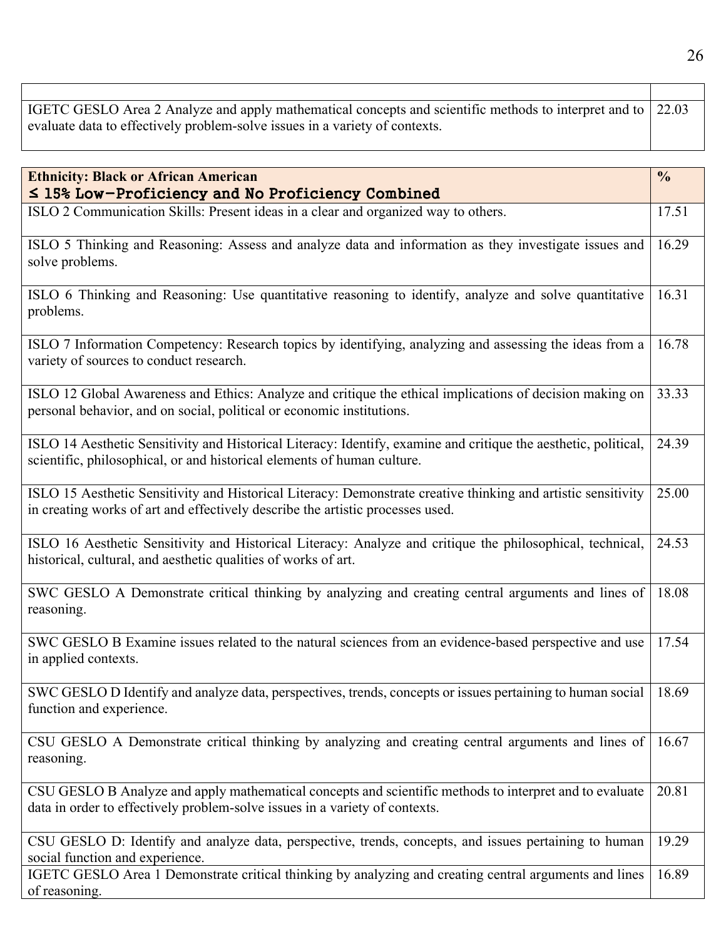| IGETC GESLO Area 2 Analyze and apply mathematical concepts and scientific methods to interpret and to 22.03 |  |
|-------------------------------------------------------------------------------------------------------------|--|
| evaluate data to effectively problem-solve issues in a variety of contexts.                                 |  |

| <b>Ethnicity: Black or African American</b><br>≤ 15% Low-Proficiency and No Proficiency Combined                                                                                                | $\frac{0}{0}$ |
|-------------------------------------------------------------------------------------------------------------------------------------------------------------------------------------------------|---------------|
| ISLO 2 Communication Skills: Present ideas in a clear and organized way to others.                                                                                                              | 17.51         |
| ISLO 5 Thinking and Reasoning: Assess and analyze data and information as they investigate issues and<br>solve problems.                                                                        | 16.29         |
| ISLO 6 Thinking and Reasoning: Use quantitative reasoning to identify, analyze and solve quantitative<br>problems.                                                                              | 16.31         |
| ISLO 7 Information Competency: Research topics by identifying, analyzing and assessing the ideas from a<br>variety of sources to conduct research.                                              | 16.78         |
| ISLO 12 Global Awareness and Ethics: Analyze and critique the ethical implications of decision making on<br>personal behavior, and on social, political or economic institutions.               | 33.33         |
| ISLO 14 Aesthetic Sensitivity and Historical Literacy: Identify, examine and critique the aesthetic, political,<br>scientific, philosophical, or and historical elements of human culture.      | 24.39         |
| ISLO 15 Aesthetic Sensitivity and Historical Literacy: Demonstrate creative thinking and artistic sensitivity<br>in creating works of art and effectively describe the artistic processes used. | 25.00         |
| ISLO 16 Aesthetic Sensitivity and Historical Literacy: Analyze and critique the philosophical, technical,<br>historical, cultural, and aesthetic qualities of works of art.                     | 24.53         |
| SWC GESLO A Demonstrate critical thinking by analyzing and creating central arguments and lines of<br>reasoning.                                                                                | 18.08         |
| SWC GESLO B Examine issues related to the natural sciences from an evidence-based perspective and use<br>in applied contexts.                                                                   | 17.54         |
| SWC GESLO D Identify and analyze data, perspectives, trends, concepts or issues pertaining to human social   18.69<br>function and experience.                                                  |               |
| CSU GESLO A Demonstrate critical thinking by analyzing and creating central arguments and lines of<br>reasoning.                                                                                | 16.67         |
| CSU GESLO B Analyze and apply mathematical concepts and scientific methods to interpret and to evaluate<br>data in order to effectively problem-solve issues in a variety of contexts.          | 20.81         |
| CSU GESLO D: Identify and analyze data, perspective, trends, concepts, and issues pertaining to human<br>social function and experience.                                                        | 19.29         |
| IGETC GESLO Area 1 Demonstrate critical thinking by analyzing and creating central arguments and lines<br>of reasoning.                                                                         | 16.89         |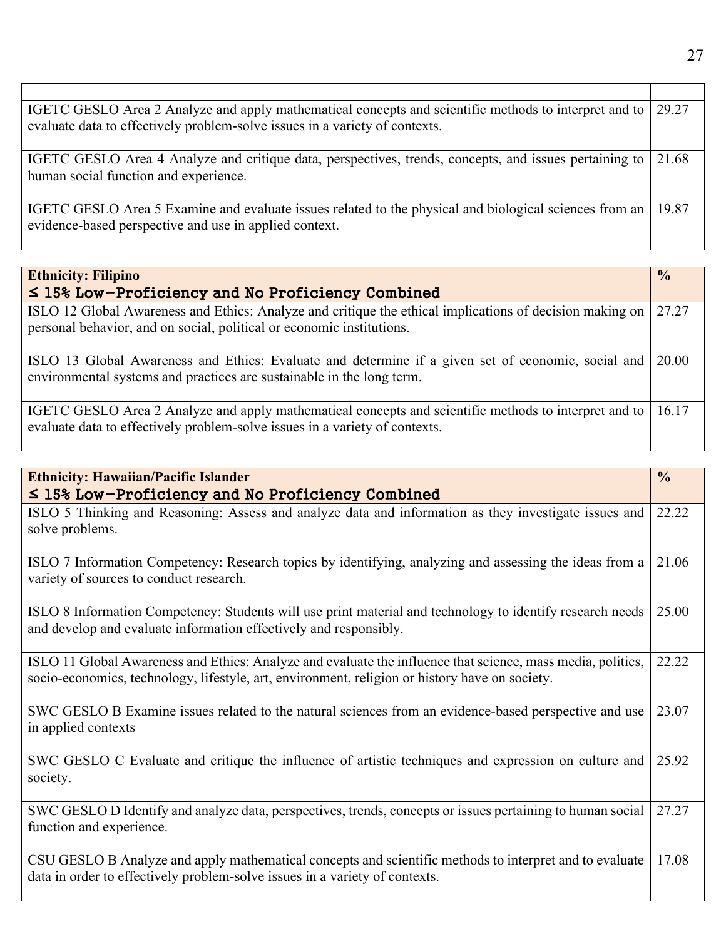| IGETC GESLO Area 2 Analyze and apply mathematical concepts and scientific methods to interpret and to<br>evaluate data to effectively problem-solve issues in a variety of contexts. | 29.27 |
|--------------------------------------------------------------------------------------------------------------------------------------------------------------------------------------|-------|
| IGETC GESLO Area 4 Analyze and critique data, perspectives, trends, concepts, and issues pertaining to<br>human social function and experience.                                      | 21.68 |
| IGETC GESLO Area 5 Examine and evaluate issues related to the physical and biological sciences from an<br>evidence-based perspective and use in applied context.                     | 19.87 |

| <b>Ethnicity: Filipino</b>                                                                                                                                                           | $\frac{0}{0}$ |
|--------------------------------------------------------------------------------------------------------------------------------------------------------------------------------------|---------------|
| $\leq$ 15% Low-Proficiency and No Proficiency Combined                                                                                                                               |               |
| ISLO 12 Global Awareness and Ethics: Analyze and critique the ethical implications of decision making on<br>personal behavior, and on social, political or economic institutions.    | 27.27         |
| ISLO 13 Global Awareness and Ethics: Evaluate and determine if a given set of economic, social and<br>environmental systems and practices are sustainable in the long term.          | 20.00         |
| IGETC GESLO Area 2 Analyze and apply mathematical concepts and scientific methods to interpret and to<br>evaluate data to effectively problem-solve issues in a variety of contexts. | 16.17         |

| <b>Ethnicity: Hawaiian/Pacific Islander</b><br>$\leq$ 15% Low-Proficiency and No Proficiency Combined                                                                                                         | $\frac{0}{0}$ |
|---------------------------------------------------------------------------------------------------------------------------------------------------------------------------------------------------------------|---------------|
| ISLO 5 Thinking and Reasoning: Assess and analyze data and information as they investigate issues and<br>solve problems.                                                                                      | 22.22         |
| ISLO 7 Information Competency: Research topics by identifying, analyzing and assessing the ideas from a<br>variety of sources to conduct research.                                                            | 21.06         |
| ISLO 8 Information Competency: Students will use print material and technology to identify research needs<br>and develop and evaluate information effectively and responsibly.                                | 25.00         |
| ISLO 11 Global Awareness and Ethics: Analyze and evaluate the influence that science, mass media, politics,<br>socio-economics, technology, lifestyle, art, environment, religion or history have on society. | 22.22         |
| SWC GESLO B Examine issues related to the natural sciences from an evidence-based perspective and use<br>in applied contexts                                                                                  | 23.07         |
| SWC GESLO C Evaluate and critique the influence of artistic techniques and expression on culture and<br>society.                                                                                              | 25.92         |
| SWC GESLO D Identify and analyze data, perspectives, trends, concepts or issues pertaining to human social<br>function and experience.                                                                        | 27.27         |
| CSU GESLO B Analyze and apply mathematical concepts and scientific methods to interpret and to evaluate<br>data in order to effectively problem-solve issues in a variety of contexts.                        | 17.08         |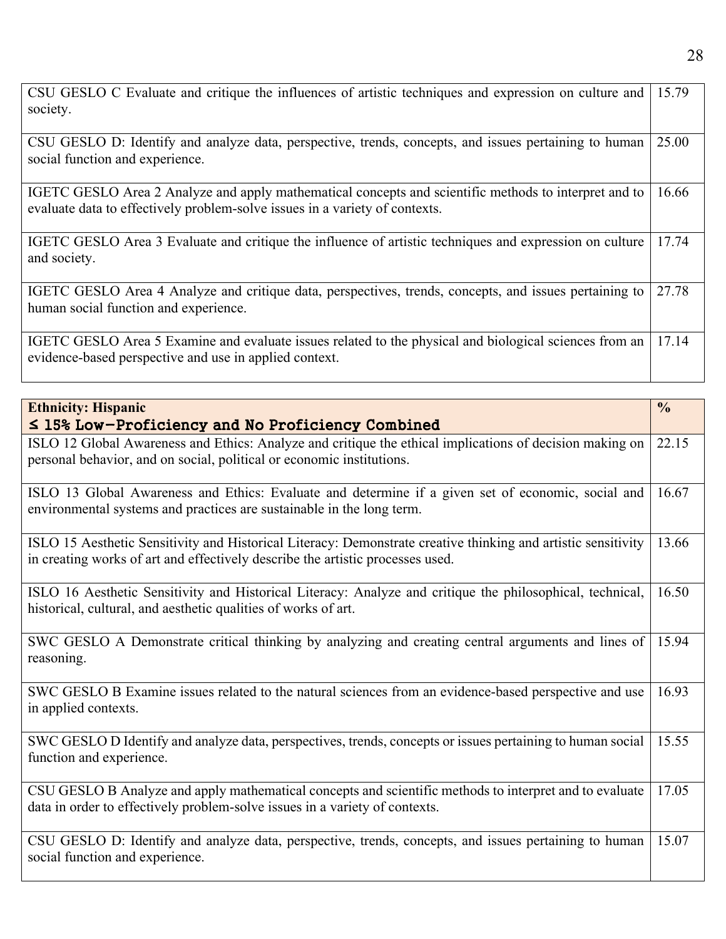| CSU GESLO C Evaluate and critique the influences of artistic techniques and expression on culture and<br>society.                                                                    | 15.79 |
|--------------------------------------------------------------------------------------------------------------------------------------------------------------------------------------|-------|
| CSU GESLO D: Identify and analyze data, perspective, trends, concepts, and issues pertaining to human<br>social function and experience.                                             | 25.00 |
| IGETC GESLO Area 2 Analyze and apply mathematical concepts and scientific methods to interpret and to<br>evaluate data to effectively problem-solve issues in a variety of contexts. | 16.66 |
| IGETC GESLO Area 3 Evaluate and critique the influence of artistic techniques and expression on culture<br>and society.                                                              | 17.74 |
| IGETC GESLO Area 4 Analyze and critique data, perspectives, trends, concepts, and issues pertaining to<br>human social function and experience.                                      | 27.78 |
| IGETC GESLO Area 5 Examine and evaluate issues related to the physical and biological sciences from an<br>evidence-based perspective and use in applied context.                     | 17.14 |

| <b>Ethnicity: Hispanic</b>                                                                                                                                                                      | $\frac{0}{0}$ |
|-------------------------------------------------------------------------------------------------------------------------------------------------------------------------------------------------|---------------|
| $\leq$ 15% Low-Proficiency and No Proficiency Combined                                                                                                                                          |               |
| ISLO 12 Global Awareness and Ethics: Analyze and critique the ethical implications of decision making on<br>personal behavior, and on social, political or economic institutions.               | 22.15         |
| ISLO 13 Global Awareness and Ethics: Evaluate and determine if a given set of economic, social and<br>environmental systems and practices are sustainable in the long term.                     | 16.67         |
| ISLO 15 Aesthetic Sensitivity and Historical Literacy: Demonstrate creative thinking and artistic sensitivity<br>in creating works of art and effectively describe the artistic processes used. | 13.66         |
| ISLO 16 Aesthetic Sensitivity and Historical Literacy: Analyze and critique the philosophical, technical,<br>historical, cultural, and aesthetic qualities of works of art.                     | 16.50         |
| SWC GESLO A Demonstrate critical thinking by analyzing and creating central arguments and lines of<br>reasoning.                                                                                | 15.94         |
| SWC GESLO B Examine issues related to the natural sciences from an evidence-based perspective and use<br>in applied contexts.                                                                   | 16.93         |
| SWC GESLO D Identify and analyze data, perspectives, trends, concepts or issues pertaining to human social<br>function and experience.                                                          | 15.55         |
| CSU GESLO B Analyze and apply mathematical concepts and scientific methods to interpret and to evaluate<br>data in order to effectively problem-solve issues in a variety of contexts.          | 17.05         |
| CSU GESLO D: Identify and analyze data, perspective, trends, concepts, and issues pertaining to human<br>social function and experience.                                                        | 15.07         |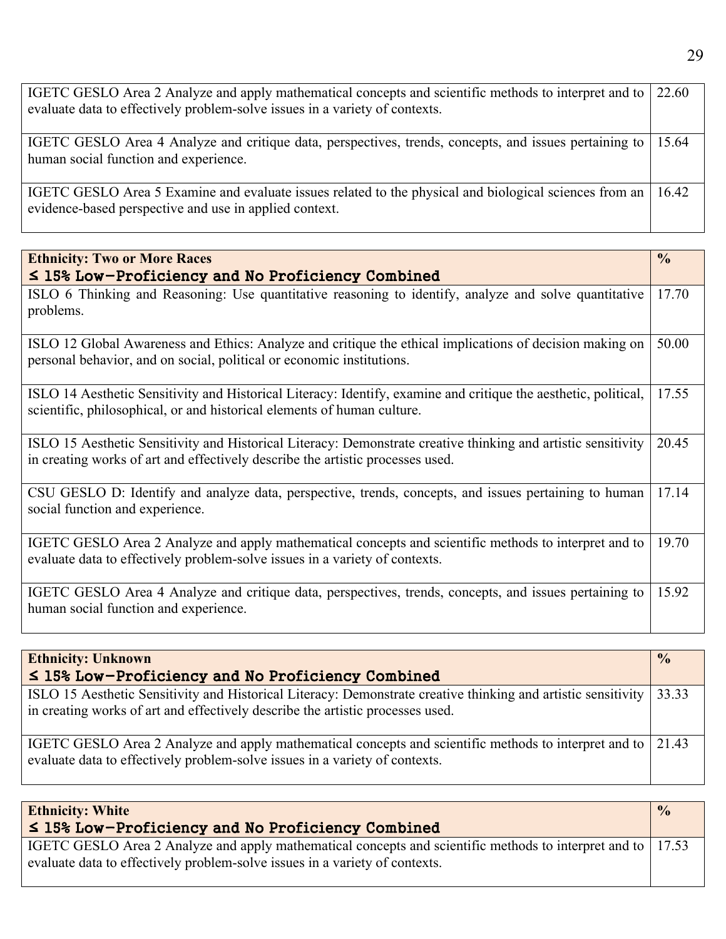| IGETC GESLO Area 2 Analyze and apply mathematical concepts and scientific methods to interpret and to 22.60<br>evaluate data to effectively problem-solve issues in a variety of contexts. |  |
|--------------------------------------------------------------------------------------------------------------------------------------------------------------------------------------------|--|
| IGETC GESLO Area 4 Analyze and critique data, perspectives, trends, concepts, and issues pertaining to   15.64<br>human social function and experience.                                    |  |
| IGETC GESLO Area 5 Examine and evaluate issues related to the physical and biological sciences from an 16.42<br>evidence-based perspective and use in applied context.                     |  |

| <b>Ethnicity: Two or More Races</b><br>$\leq$ 15% Low-Proficiency and No Proficiency Combined                                                                                                   | $\frac{0}{0}$ |
|-------------------------------------------------------------------------------------------------------------------------------------------------------------------------------------------------|---------------|
| ISLO 6 Thinking and Reasoning: Use quantitative reasoning to identify, analyze and solve quantitative<br>problems.                                                                              | 17.70         |
| ISLO 12 Global Awareness and Ethics: Analyze and critique the ethical implications of decision making on<br>personal behavior, and on social, political or economic institutions.               | 50.00         |
| ISLO 14 Aesthetic Sensitivity and Historical Literacy: Identify, examine and critique the aesthetic, political,<br>scientific, philosophical, or and historical elements of human culture.      | 17.55         |
| ISLO 15 Aesthetic Sensitivity and Historical Literacy: Demonstrate creative thinking and artistic sensitivity<br>in creating works of art and effectively describe the artistic processes used. | 20.45         |
| CSU GESLO D: Identify and analyze data, perspective, trends, concepts, and issues pertaining to human<br>social function and experience.                                                        | 17.14         |
| IGETC GESLO Area 2 Analyze and apply mathematical concepts and scientific methods to interpret and to<br>evaluate data to effectively problem-solve issues in a variety of contexts.            | 19.70         |
| IGETC GESLO Area 4 Analyze and critique data, perspectives, trends, concepts, and issues pertaining to<br>human social function and experience.                                                 | 15.92         |

| <b>Ethnicity: Unknown</b>                                                                                                                                                                       | $\frac{0}{0}$ |
|-------------------------------------------------------------------------------------------------------------------------------------------------------------------------------------------------|---------------|
| $\leq$ 15% Low-Proficiency and No Proficiency Combined                                                                                                                                          |               |
| ISLO 15 Aesthetic Sensitivity and Historical Literacy: Demonstrate creative thinking and artistic sensitivity<br>in creating works of art and effectively describe the artistic processes used. | 33.33         |
| IGETC GESLO Area 2 Analyze and apply mathematical concepts and scientific methods to interpret and to 21.43<br>evaluate data to effectively problem-solve issues in a variety of contexts.      |               |

| <b>Ethnicity: White</b><br>$\leq$ 15% Low-Proficiency and No Proficiency Combined                                                                                                          | $\frac{0}{0}$ |
|--------------------------------------------------------------------------------------------------------------------------------------------------------------------------------------------|---------------|
| IGETC GESLO Area 2 Analyze and apply mathematical concepts and scientific methods to interpret and to 17.53<br>evaluate data to effectively problem-solve issues in a variety of contexts. |               |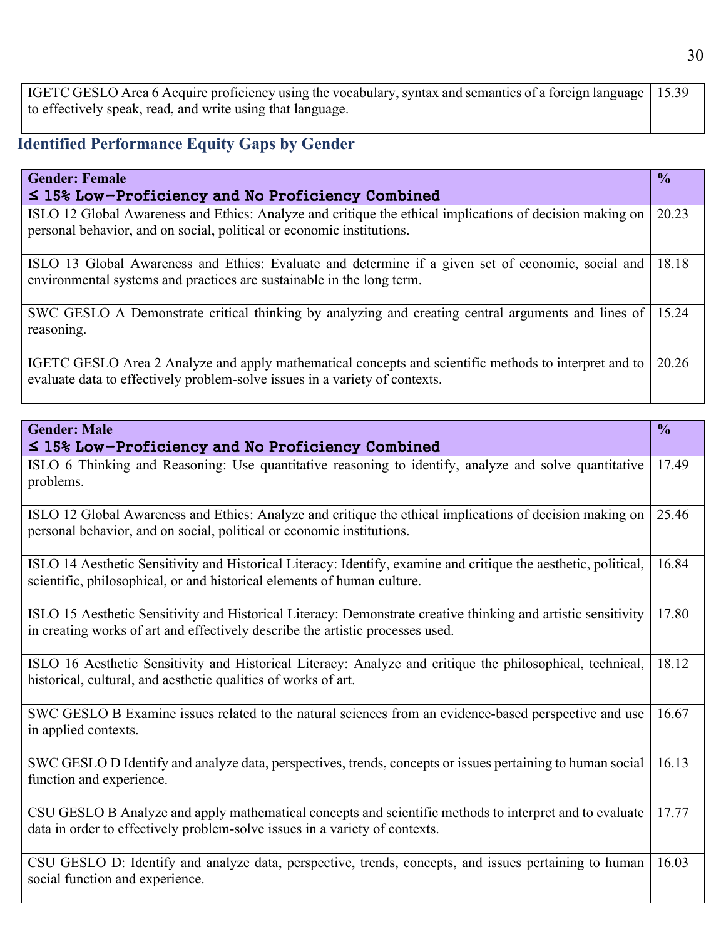IGETC GESLO Area 6 Acquire proficiency using the vocabulary, syntax and semantics of a foreign language to effectively speak, read, and write using that language. 15.39

## **Identified Performance Equity Gaps by Gender**

| <b>Gender: Female</b>                                                                                                                                                                | $\frac{0}{2}$ |
|--------------------------------------------------------------------------------------------------------------------------------------------------------------------------------------|---------------|
| $\leq$ 15% Low-Proficiency and No Proficiency Combined                                                                                                                               |               |
| ISLO 12 Global Awareness and Ethics: Analyze and critique the ethical implications of decision making on<br>personal behavior, and on social, political or economic institutions.    | 20.23         |
| ISLO 13 Global Awareness and Ethics: Evaluate and determine if a given set of economic, social and<br>environmental systems and practices are sustainable in the long term.          | 18.18         |
| SWC GESLO A Demonstrate critical thinking by analyzing and creating central arguments and lines of<br>reasoning.                                                                     | 15.24         |
| IGETC GESLO Area 2 Analyze and apply mathematical concepts and scientific methods to interpret and to<br>evaluate data to effectively problem-solve issues in a variety of contexts. | 20.26         |

| <b>Gender: Male</b>                                                                                                                                                                             | $\frac{0}{0}$ |
|-------------------------------------------------------------------------------------------------------------------------------------------------------------------------------------------------|---------------|
| $\leq$ 15% Low-Proficiency and No Proficiency Combined                                                                                                                                          |               |
| ISLO 6 Thinking and Reasoning: Use quantitative reasoning to identify, analyze and solve quantitative<br>problems.                                                                              | 17.49         |
| ISLO 12 Global Awareness and Ethics: Analyze and critique the ethical implications of decision making on<br>personal behavior, and on social, political or economic institutions.               | 25.46         |
| ISLO 14 Aesthetic Sensitivity and Historical Literacy: Identify, examine and critique the aesthetic, political,<br>scientific, philosophical, or and historical elements of human culture.      | 16.84         |
| ISLO 15 Aesthetic Sensitivity and Historical Literacy: Demonstrate creative thinking and artistic sensitivity<br>in creating works of art and effectively describe the artistic processes used. | 17.80         |
| ISLO 16 Aesthetic Sensitivity and Historical Literacy: Analyze and critique the philosophical, technical,<br>historical, cultural, and aesthetic qualities of works of art.                     | 18.12         |
| SWC GESLO B Examine issues related to the natural sciences from an evidence-based perspective and use<br>in applied contexts.                                                                   | 16.67         |
| SWC GESLO D Identify and analyze data, perspectives, trends, concepts or issues pertaining to human social<br>function and experience.                                                          | 16.13         |
| CSU GESLO B Analyze and apply mathematical concepts and scientific methods to interpret and to evaluate<br>data in order to effectively problem-solve issues in a variety of contexts.          | 17.77         |
| CSU GESLO D: Identify and analyze data, perspective, trends, concepts, and issues pertaining to human<br>social function and experience.                                                        | 16.03         |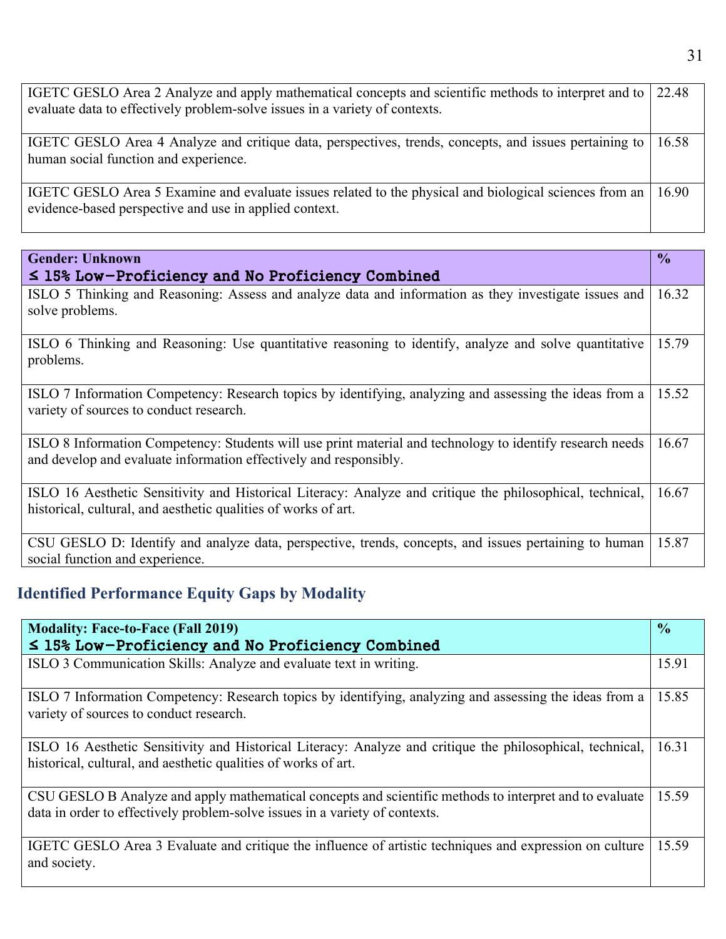| IGETC GESLO Area 2 Analyze and apply mathematical concepts and scientific methods to interpret and to 22.48<br>evaluate data to effectively problem-solve issues in a variety of contexts. |  |
|--------------------------------------------------------------------------------------------------------------------------------------------------------------------------------------------|--|
| IGETC GESLO Area 4 Analyze and critique data, perspectives, trends, concepts, and issues pertaining to   16.58<br>human social function and experience.                                    |  |
| IGETC GESLO Area 5 Examine and evaluate issues related to the physical and biological sciences from an   16.90<br>evidence-based perspective and use in applied context.                   |  |

| <b>Gender: Unknown</b>                                                                                                                                                         | $\frac{6}{10}$ |
|--------------------------------------------------------------------------------------------------------------------------------------------------------------------------------|----------------|
| $\leq$ 15% Low-Proficiency and No Proficiency Combined                                                                                                                         |                |
| ISLO 5 Thinking and Reasoning: Assess and analyze data and information as they investigate issues and<br>solve problems.                                                       | 16.32          |
| ISLO 6 Thinking and Reasoning: Use quantitative reasoning to identify, analyze and solve quantitative<br>problems.                                                             | 15.79          |
| ISLO 7 Information Competency: Research topics by identifying, analyzing and assessing the ideas from a<br>variety of sources to conduct research.                             | 15.52          |
| ISLO 8 Information Competency: Students will use print material and technology to identify research needs<br>and develop and evaluate information effectively and responsibly. | 16.67          |
| ISLO 16 Aesthetic Sensitivity and Historical Literacy: Analyze and critique the philosophical, technical,<br>historical, cultural, and aesthetic qualities of works of art.    | 16.67          |
| CSU GESLO D: Identify and analyze data, perspective, trends, concepts, and issues pertaining to human<br>social function and experience.                                       | 15.87          |

# **Identified Performance Equity Gaps by Modality**

| <b>Modality: Face-to-Face (Fall 2019)</b>                                                                                                                                              | $\frac{1}{2}$ |
|----------------------------------------------------------------------------------------------------------------------------------------------------------------------------------------|---------------|
| $\leq$ 15% Low-Proficiency and No Proficiency Combined                                                                                                                                 |               |
| ISLO 3 Communication Skills: Analyze and evaluate text in writing.                                                                                                                     | 15.91         |
| ISLO 7 Information Competency: Research topics by identifying, analyzing and assessing the ideas from a<br>variety of sources to conduct research.                                     | 15.85         |
| ISLO 16 Aesthetic Sensitivity and Historical Literacy: Analyze and critique the philosophical, technical,<br>historical, cultural, and aesthetic qualities of works of art.            | 16.31         |
| CSU GESLO B Analyze and apply mathematical concepts and scientific methods to interpret and to evaluate<br>data in order to effectively problem-solve issues in a variety of contexts. | 15.59         |
| IGETC GESLO Area 3 Evaluate and critique the influence of artistic techniques and expression on culture<br>and society.                                                                | 15.59         |